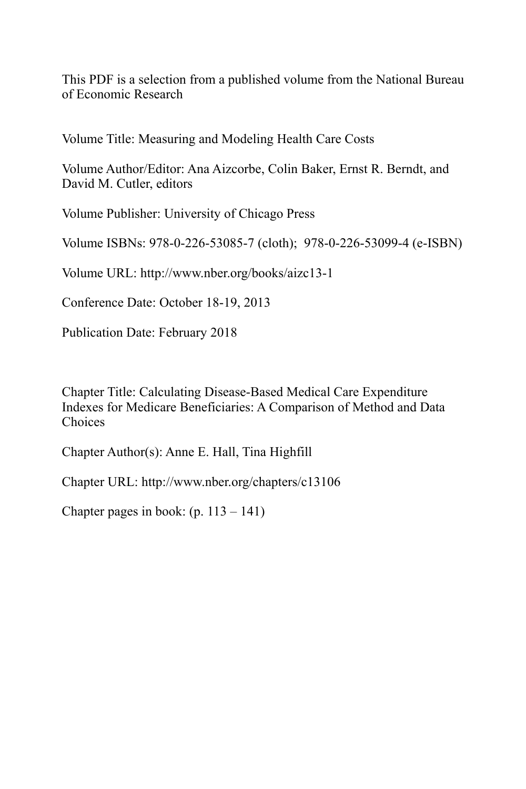This PDF is a selection from a published volume from the National Bureau of Economic Research

Volume Title: Measuring and Modeling Health Care Costs

Volume Author/Editor: Ana Aizcorbe, Colin Baker, Ernst R. Berndt, and David M. Cutler, editors

Volume Publisher: University of Chicago Press

Volume ISBNs: 978-0-226-53085-7 (cloth); 978-0-226-53099-4 (e-ISBN)

Volume URL: http://www.nber.org/books/aizc13-1

Conference Date: October 18-19, 2013

Publication Date: February 2018

Chapter Title: Calculating Disease-Based Medical Care Expenditure Indexes for Medicare Beneficiaries: A Comparison of Method and Data Choices

Chapter Author(s): Anne E. Hall, Tina Highfill

Chapter URL: http://www.nber.org/chapters/c13106

Chapter pages in book:  $(p. 113 - 141)$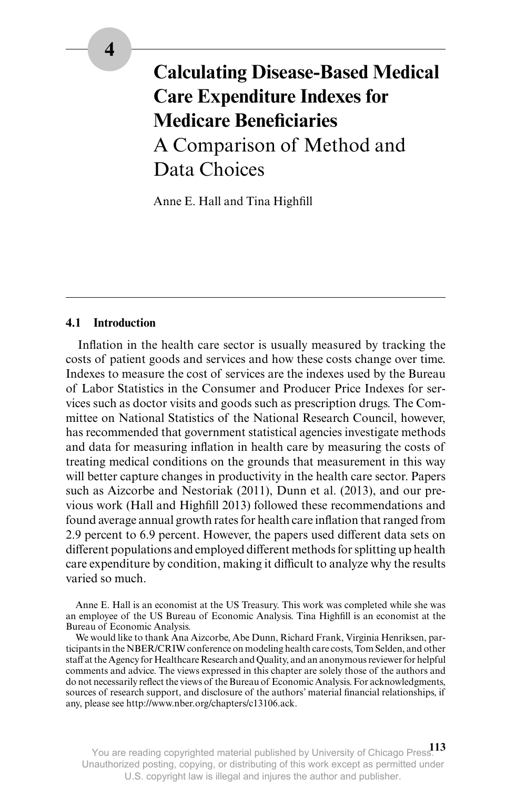# **Calculating Disease- Based Medical Care Expenditure Indexes for Medicare Beneficiaries** A Comparison of Method and Data Choices

Anne E. Hall and Tina Highfill

# **4.1 Introduction**

Inflation in the health care sector is usually measured by tracking the costs of patient goods and services and how these costs change over time. Indexes to measure the cost of services are the indexes used by the Bureau of Labor Statistics in the Consumer and Producer Price Indexes for services such as doctor visits and goods such as prescription drugs. The Committee on National Statistics of the National Research Council, however, has recommended that government statistical agencies investigate methods and data for measuring inflation in health care by measuring the costs of treating medical conditions on the grounds that measurement in this way will better capture changes in productivity in the health care sector. Papers such as Aizcorbe and Nestoriak (2011), Dunn et al. (2013), and our previous work (Hall and Highfill 2013) followed these recommendations and found average annual growth rates for health care inflation that ranged from 2.9 percent to 6.9 percent. However, the papers used different data sets on different populations and employed different methods for splitting up health care expenditure by condition, making it difficult to analyze why the results varied so much.

Anne E. Hall is an economist at the US Treasury. This work was completed while she was an employee of the US Bureau of Economic Analysis. Tina Highfill is an economist at the Bureau of Economic Analysis.

We would like to thank Ana Aizcorbe, Abe Dunn, Richard Frank, Virginia Henriksen, participants in the NBER/CRIW conference on modeling health care costs, Tom Selden, and other staff at the Agency for Healthcare Research and Quality, and an anonymous reviewer for helpful comments and advice. The views expressed in this chapter are solely those of the authors and do not necessarily reflect the views of the Bureau of Economic Analysis. For acknowledgments, sources of research support, and disclosure of the authors' material financial relationships, if any, please see http://www.nber.org/chapters/c13106.ack.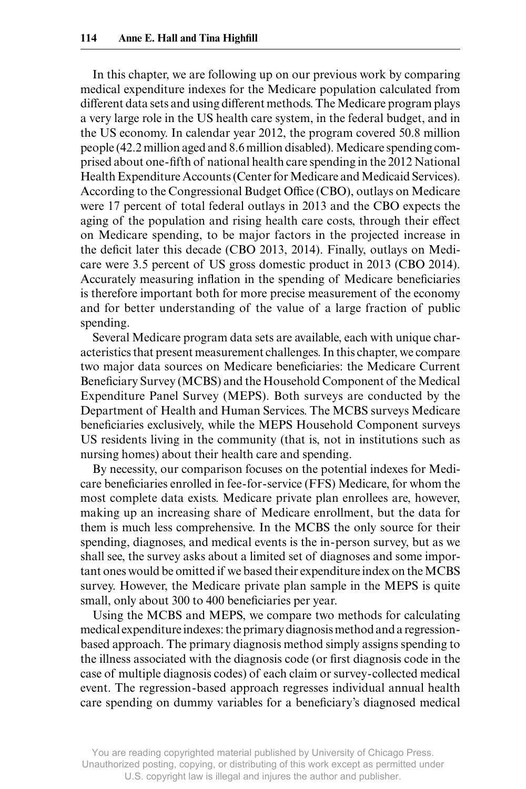In this chapter, we are following up on our previous work by comparing medical expenditure indexes for the Medicare population calculated from different data sets and using different methods. The Medicare program plays a very large role in the US health care system, in the federal budget, and in the US economy. In calendar year 2012, the program covered 50.8 million people (42.2 million aged and 8.6 million disabled). Medicare spending comprised about one-fifth of national health care spending in the 2012 National Health Expenditure Accounts (Center for Medicare and Medicaid Services). According to the Congressional Budget Office (CBO), outlays on Medicare were 17 percent of total federal outlays in 2013 and the CBO expects the aging of the population and rising health care costs, through their effect on Medicare spending, to be major factors in the projected increase in the deficit later this decade (CBO 2013, 2014). Finally, outlays on Medicare were 3.5 percent of US gross domestic product in 2013 (CBO 2014). Accurately measuring inflation in the spending of Medicare beneficiaries is therefore important both for more precise measurement of the economy and for better understanding of the value of a large fraction of public spending.

Several Medicare program data sets are available, each with unique characteristics that present measurement challenges. In this chapter, we compare two major data sources on Medicare beneficiaries: the Medicare Current Beneficiary Survey (MCBS) and the Household Component of the Medical Expenditure Panel Survey (MEPS). Both surveys are conducted by the Department of Health and Human Services. The MCBS surveys Medicare beneficiaries exclusively, while the MEPS Household Component surveys US residents living in the community (that is, not in institutions such as nursing homes) about their health care and spending.

By necessity, our comparison focuses on the potential indexes for Medicare beneficiaries enrolled in fee-for-service (FFS) Medicare, for whom the most complete data exists. Medicare private plan enrollees are, however, making up an increasing share of Medicare enrollment, but the data for them is much less comprehensive. In the MCBS the only source for their spending, diagnoses, and medical events is the in- person survey, but as we shall see, the survey asks about a limited set of diagnoses and some important ones would be omitted if we based their expenditure index on the MCBS survey. However, the Medicare private plan sample in the MEPS is quite small, only about 300 to 400 beneficiaries per year.

Using the MCBS and MEPS, we compare two methods for calculating medical expenditure indexes: the primary diagnosis method and a regressionbased approach. The primary diagnosis method simply assigns spending to the illness associated with the diagnosis code (or first diagnosis code in the case of multiple diagnosis codes) of each claim or survey- collected medical event. The regression- based approach regresses individual annual health care spending on dummy variables for a beneficiary's diagnosed medical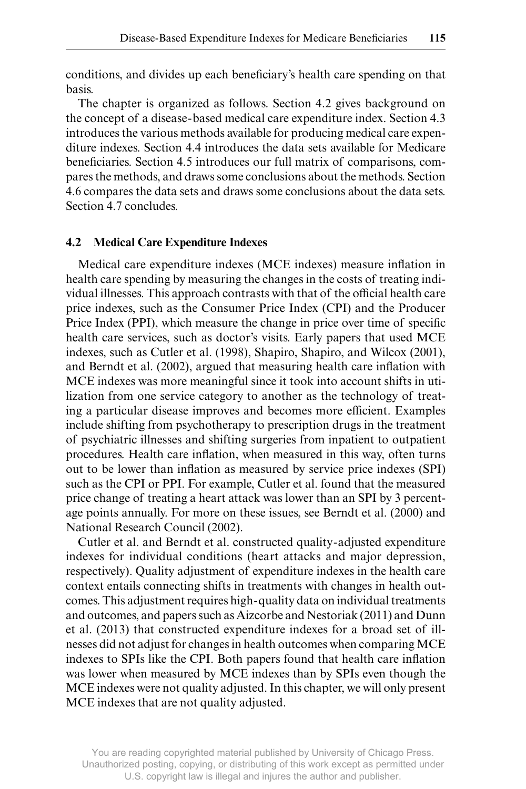conditions, and divides up each beneficiary's health care spending on that basis.

The chapter is organized as follows. Section 4.2 gives background on the concept of a disease- based medical care expenditure index. Section 4.3 introduces the various methods available for producing medical care expenditure indexes. Section 4.4 introduces the data sets available for Medicare beneficiaries. Section 4.5 introduces our full matrix of comparisons, compares the methods, and draws some conclusions about the methods. Section 4.6 compares the data sets and draws some conclusions about the data sets. Section 4.7 concludes.

#### **4.2 Medical Care Expenditure Indexes**

Medical care expenditure indexes (MCE indexes) measure inflation in health care spending by measuring the changes in the costs of treating individual illnesses. This approach contrasts with that of the official health care price indexes, such as the Consumer Price Index (CPI) and the Producer Price Index (PPI), which measure the change in price over time of specific health care services, such as doctor's visits. Early papers that used MCE indexes, such as Cutler et al. (1998), Shapiro, Shapiro, and Wilcox (2001), and Berndt et al. (2002), argued that measuring health care inflation with MCE indexes was more meaningful since it took into account shifts in utilization from one service category to another as the technology of treating a particular disease improves and becomes more efficient. Examples include shifting from psychotherapy to prescription drugs in the treatment of psychiatric illnesses and shifting surgeries from inpatient to outpatient procedures. Health care inflation, when measured in this way, often turns out to be lower than inflation as measured by service price indexes (SPI) such as the CPI or PPI. For example, Cutler et al. found that the measured price change of treating a heart attack was lower than an SPI by 3 percentage points annually. For more on these issues, see Berndt et al. (2000) and National Research Council (2002).

Cutler et al. and Berndt et al. constructed quality- adjusted expenditure indexes for individual conditions (heart attacks and major depression, respectively). Quality adjustment of expenditure indexes in the health care context entails connecting shifts in treatments with changes in health outcomes. This adjustment requires high- quality data on individual treatments and outcomes, and papers such as Aizcorbe and Nestoriak (2011) and Dunn et al. (2013) that constructed expenditure indexes for a broad set of illnesses did not adjust for changes in health outcomes when comparing MCE indexes to SPIs like the CPI. Both papers found that health care inflation was lower when measured by MCE indexes than by SPIs even though the MCE indexes were not quality adjusted. In this chapter, we will only present MCE indexes that are not quality adjusted.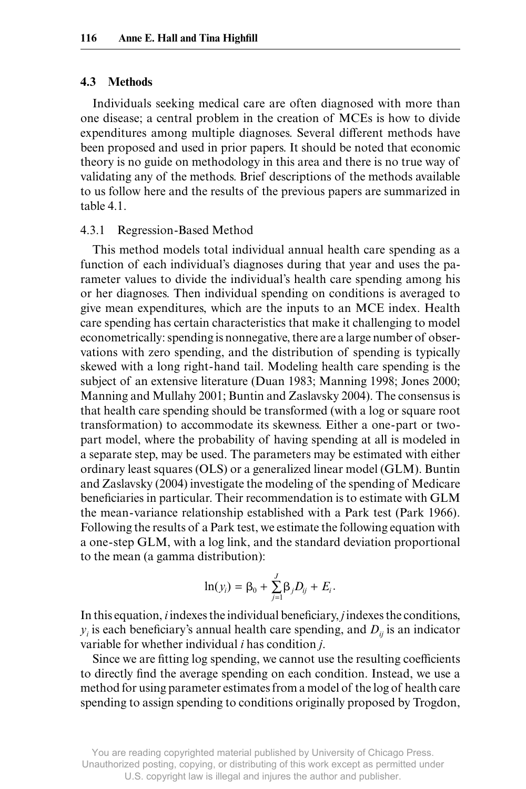#### **4.3 Methods**

Individuals seeking medical care are often diagnosed with more than one disease; a central problem in the creation of MCEs is how to divide expenditures among multiple diagnoses. Several different methods have been proposed and used in prior papers. It should be noted that economic theory is no guide on methodology in this area and there is no true way of validating any of the methods. Brief descriptions of the methods available to us follow here and the results of the previous papers are summarized in table 4.1.

#### 4.3.1 Regression- Based Method

This method models total individual annual health care spending as a function of each individual's diagnoses during that year and uses the parameter values to divide the individual's health care spending among his or her diagnoses. Then individual spending on conditions is averaged to give mean expenditures, which are the inputs to an MCE index. Health care spending has certain characteristics that make it challenging to model econometrically: spending is nonnegative, there are a large number of observations with zero spending, and the distribution of spending is typically skewed with a long right- hand tail. Modeling health care spending is the subject of an extensive literature (Duan 1983; Manning 1998; Jones 2000; Manning and Mullahy 2001; Buntin and Zaslavsky 2004). The consensus is that health care spending should be transformed (with a log or square root transformation) to accommodate its skewness. Either a one- part or twopart model, where the probability of having spending at all is modeled in a separate step, may be used. The parameters may be estimated with either ordinary least squares (OLS) or a generalized linear model (GLM). Buntin and Zaslavsky (2004) investigate the modeling of the spending of Medicare beneficiaries in particular. Their recommendation is to estimate with GLM the mean- variance relationship established with a Park test (Park 1966). Following the results of a Park test, we estimate the following equation with a one- step GLM, with a log link, and the standard deviation proportional to the mean (a gamma distribution):

$$
\ln(y_i) = \beta_0 + \sum_{j=1}^{J} \beta_j D_{ij} + E_i.
$$

In this equation, *i* indexes the individual beneficiary, *j* indexes the conditions,  $y_i$  is each beneficiary's annual health care spending, and  $D_{ij}$  is an indicator variable for whether individual *i* has condition *j*.

Since we are fitting log spending, we cannot use the resulting coefficients to directly find the average spending on each condition. Instead, we use a method for using parameter estimates from a model of the log of health care spending to assign spending to conditions originally proposed by Trogdon,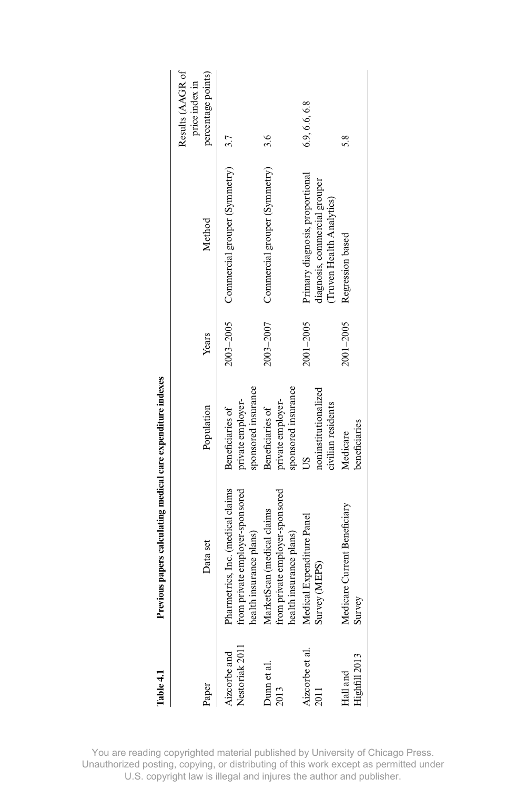| lawe -- 1                     | revious papers carculating intented experiment intexes                                          |                                                              |               |                                                                                               |                                                          |
|-------------------------------|-------------------------------------------------------------------------------------------------|--------------------------------------------------------------|---------------|-----------------------------------------------------------------------------------------------|----------------------------------------------------------|
| Paper                         | Data set                                                                                        | Population                                                   | Years         | Method                                                                                        | Results (AAGR of<br>percentage points)<br>price index in |
| Nestoriak 2011<br>izcorbe and | Pharmetrics, Inc. (medical claims<br>from private employer-sponsored<br>health insurance plans) | sponsored insurance<br>private employer-<br>Beneficiaries of | $2003 - 2005$ | Commercial grouper (Symmetry) 3.7                                                             |                                                          |
| Dunn et al.<br>2013           | MarketScan (medical claims<br>from private employer-sponsored<br>health insurance plans)        | sponsored insurance<br>private employer-<br>Beneficiaries of | 2003-2007     | Commercial grouper (Symmetry)                                                                 | 3.6                                                      |
| Aizcorbe et al.               | Medical Expenditure Panel<br>Survey (MEPS)                                                      | noninstitutionalized<br>civilian residents                   | $2001 - 2005$ | Primary diagnosis, proportional<br>diagnosis, commercial grouper<br>(Truven Health Analytics) | 6.9, 6.6, 6.8                                            |
| Highfill 2013<br>Hall and     | Medicare Current Beneficiary<br>Survey                                                          | beneficiaries<br>Medicare                                    | $2001 - 2005$ | Regression based                                                                              | 5.8                                                      |
|                               |                                                                                                 |                                                              |               |                                                                                               |                                                          |

Previous papers calculating medical care expenditure indexes **Table 4.1 Previous papers calculating medical care expenditure indexes** Table 41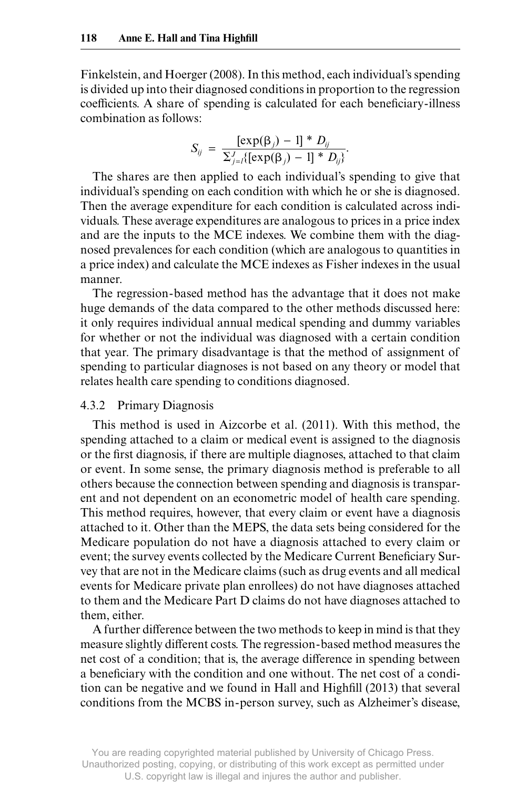Finkelstein, and Hoerger (2008). In this method, each individual's spending is divided up into their diagnosed conditions in proportion to the regression coefficients. A share of spending is calculated for each beneficiary-illness combination as follows:

$$
S_{ij} = \frac{[\exp(\beta_j) - 1] * D_{ij}}{\sum_{j=1}^{J} \{[\exp(\beta_j) - 1] * D_{ij}\}}.
$$

The shares are then applied to each individual's spending to give that individual's spending on each condition with which he or she is diagnosed. Then the average expenditure for each condition is calculated across individuals. These average expenditures are analogous to prices in a price index and are the inputs to the MCE indexes. We combine them with the diagnosed prevalences for each condition (which are analogous to quantities in a price index) and calculate the MCE indexes as Fisher indexes in the usual manner.

The regression- based method has the advantage that it does not make huge demands of the data compared to the other methods discussed here: it only requires individual annual medical spending and dummy variables for whether or not the individual was diagnosed with a certain condition that year. The primary disadvantage is that the method of assignment of spending to particular diagnoses is not based on any theory or model that relates health care spending to conditions diagnosed.

### 4.3.2 Primary Diagnosis

This method is used in Aizcorbe et al. (2011). With this method, the spending attached to a claim or medical event is assigned to the diagnosis or the first diagnosis, if there are multiple diagnoses, attached to that claim or event. In some sense, the primary diagnosis method is preferable to all others because the connection between spending and diagnosis is transparent and not dependent on an econometric model of health care spending. This method requires, however, that every claim or event have a diagnosis attached to it. Other than the MEPS, the data sets being considered for the Medicare population do not have a diagnosis attached to every claim or event; the survey events collected by the Medicare Current Beneficiary Survey that are not in the Medicare claims (such as drug events and all medical events for Medicare private plan enrollees) do not have diagnoses attached to them and the Medicare Part D claims do not have diagnoses attached to them, either.

A further difference between the two methods to keep in mind is that they measure slightly different costs. The regression-based method measures the net cost of a condition; that is, the average difference in spending between a beneficiary with the condition and one without. The net cost of a condition can be negative and we found in Hall and Highfill (2013) that several conditions from the MCBS in- person survey, such as Alzheimer's disease,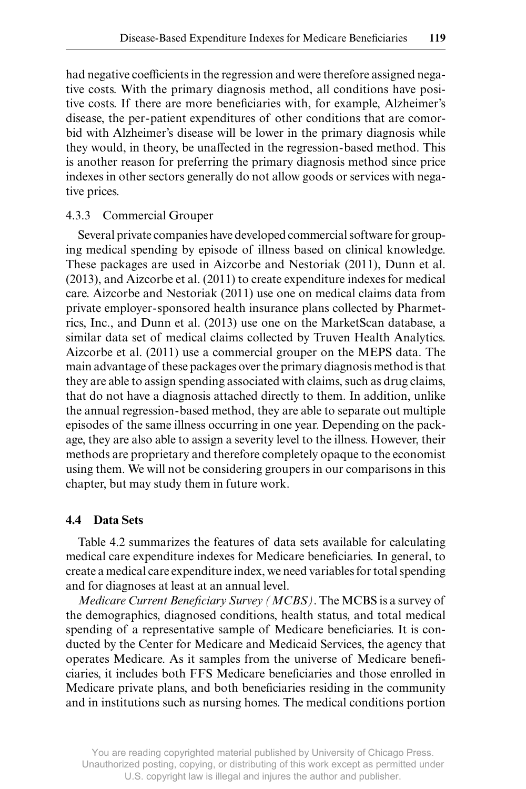had negative coefficients in the regression and were therefore assigned negative costs. With the primary diagnosis method, all conditions have positive costs. If there are more beneficiaries with, for example, Alzheimer's disease, the per- patient expenditures of other conditions that are comorbid with Alzheimer's disease will be lower in the primary diagnosis while they would, in theory, be unaffected in the regression-based method. This is another reason for preferring the primary diagnosis method since price indexes in other sectors generally do not allow goods or services with negative prices.

#### 4.3.3 Commercial Grouper

Several private companies have developed commercial software for grouping medical spending by episode of illness based on clinical knowledge. These packages are used in Aizcorbe and Nestoriak (2011), Dunn et al. (2013), and Aizcorbe et al. (2011) to create expenditure indexes for medical care. Aizcorbe and Nestoriak (2011) use one on medical claims data from private employer- sponsored health insurance plans collected by Pharmetrics, Inc., and Dunn et al. (2013) use one on the MarketScan database, a similar data set of medical claims collected by Truven Health Analytics. Aizcorbe et al. (2011) use a commercial grouper on the MEPS data. The main advantage of these packages over the primary diagnosis method is that they are able to assign spending associated with claims, such as drug claims, that do not have a diagnosis attached directly to them. In addition, unlike the annual regression- based method, they are able to separate out multiple episodes of the same illness occurring in one year. Depending on the package, they are also able to assign a severity level to the illness. However, their methods are proprietary and therefore completely opaque to the economist using them. We will not be considering groupers in our comparisons in this chapter, but may study them in future work.

#### **4.4 Data Sets**

Table 4.2 summarizes the features of data sets available for calculating medical care expenditure indexes for Medicare beneficiaries. In general, to create a medical care expenditure index, we need variables for total spending and for diagnoses at least at an annual level.

*Medicare Current Beneficiary Survey (MCBS)*. The MCBS is a survey of the demographics, diagnosed conditions, health status, and total medical spending of a representative sample of Medicare beneficiaries. It is conducted by the Center for Medicare and Medicaid Services, the agency that operates Medicare. As it samples from the universe of Medicare beneficiaries, it includes both FFS Medicare beneficiaries and those enrolled in Medicare private plans, and both beneficiaries residing in the community and in institutions such as nursing homes. The medical conditions portion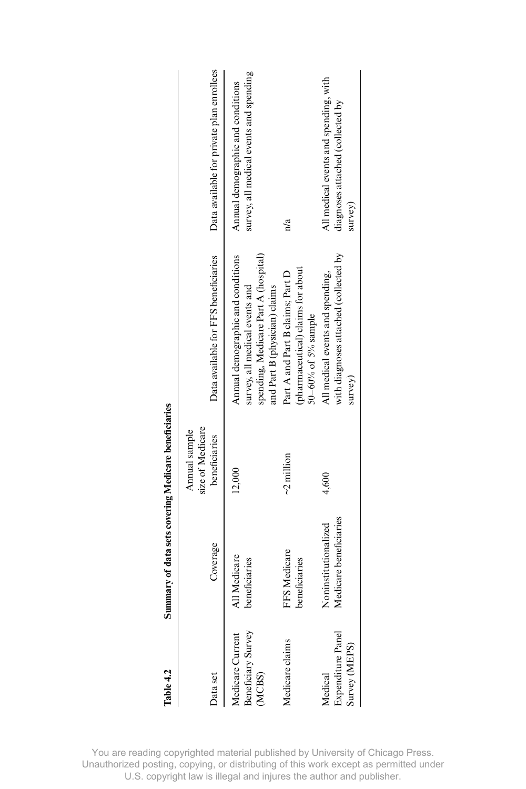| Cable 4.2                                       | Summary of data sets covering Medicare beneficiaries |                                                    |                                                                                                                                              |                                                                                      |
|-------------------------------------------------|------------------------------------------------------|----------------------------------------------------|----------------------------------------------------------------------------------------------------------------------------------------------|--------------------------------------------------------------------------------------|
| <b>Jata</b> set                                 | Coverage                                             | size of Medicare<br>Annual sample<br>beneficiaries | Data available for FFS beneficiaries                                                                                                         | Data available for private plan enrollees                                            |
| Beneficiary Survey<br>Aedicare Current<br>MCBS) | All Medicare<br>beneficiaries                        | 12,000                                             | spending, Medicare Part A (hospital)<br>Annual demographic and conditions<br>survey, all medical events and<br>and Part B (physician) claims | survey, all medical events and spending<br>Annual demographic and conditions         |
| Medicare claims                                 | FFS Medicare<br>beneficiaries                        | $\sim$ 2 million                                   | (pharmaceutical) claims for about<br>Part A and Part B claims; Part D<br>50 $-60%$ of 5% sample                                              | $\frac{a}{a}$                                                                        |
| 3xpenditure Panel<br>urvey (MEPS)<br>Medical    | Medicare beneficiaries<br>Noninstitutionalized       | 4,600                                              | with diagnoses attached (collected by<br>All medical events and spending,<br>survey)                                                         | All medical events and spending, with<br>diagnoses attached (collected by<br>survey) |
|                                                 |                                                      |                                                    |                                                                                                                                              |                                                                                      |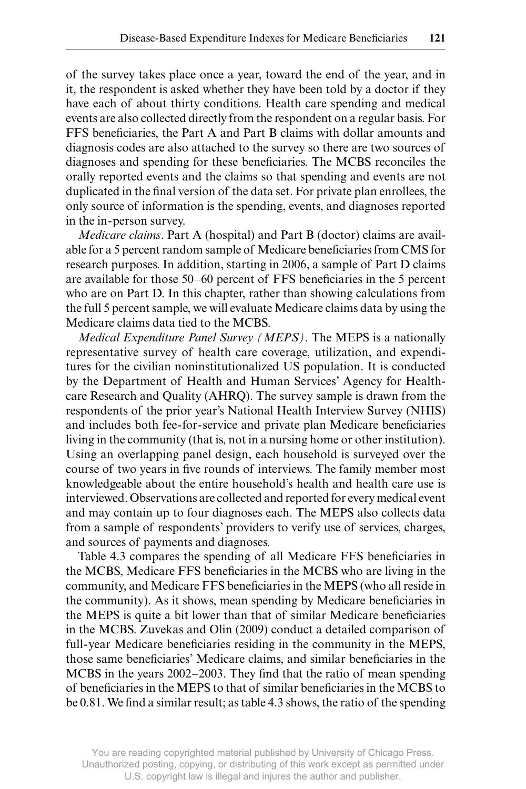of the survey takes place once a year, toward the end of the year, and in it, the respondent is asked whether they have been told by a doctor if they have each of about thirty conditions. Health care spending and medical events are also collected directly from the respondent on a regular basis. For FFS beneficiaries, the Part A and Part B claims with dollar amounts and diagnosis codes are also attached to the survey so there are two sources of diagnoses and spending for these beneficiaries. The MCBS reconciles the orally reported events and the claims so that spending and events are not duplicated in the final version of the data set. For private plan enrollees, the only source of information is the spending, events, and diagnoses reported in the in- person survey.

*Medicare claims*. Part A (hospital) and Part B (doctor) claims are available for a 5 percent random sample of Medicare beneficiaries from CMS for research purposes. In addition, starting in 2006, a sample of Part D claims are available for those 50–60 percent of FFS beneficiaries in the 5 percent who are on Part D. In this chapter, rather than showing calculations from the full 5 percent sample, we will evaluate Medicare claims data by using the Medicare claims data tied to the MCBS.

*Medical Expenditure Panel Survey (MEPS)*. The MEPS is a nationally representative survey of health care coverage, utilization, and expenditures for the civilian noninstitutionalized US population. It is conducted by the Department of Health and Human Services' Agency for Healthcare Research and Quality (AHRQ). The survey sample is drawn from the respondents of the prior year's National Health Interview Survey (NHIS) and includes both fee-for-service and private plan Medicare beneficiaries living in the community (that is, not in a nursing home or other institution). Using an overlapping panel design, each household is surveyed over the course of two years in five rounds of interviews. The family member most knowledgeable about the entire household's health and health care use is interviewed. Observations are collected and reported for every medical event and may contain up to four diagnoses each. The MEPS also collects data from a sample of respondents' providers to verify use of services, charges, and sources of payments and diagnoses.

Table 4.3 compares the spending of all Medicare FFS beneficiaries in the MCBS, Medicare FFS beneficiaries in the MCBS who are living in the community, and Medicare FFS beneficiaries in the MEPS (who all reside in the community). As it shows, mean spending by Medicare beneficiaries in the MEPS is quite a bit lower than that of similar Medicare beneficiaries in the MCBS. Zuvekas and Olin (2009) conduct a detailed comparison of full-year Medicare beneficiaries residing in the community in the MEPS, those same beneficiaries' Medicare claims, and similar beneficiaries in the MCBS in the years 2002–2003. They find that the ratio of mean spending of beneficiaries in the MEPS to that of similar beneficiaries in the MCBS to be  $0.81$ . We find a similar result; as table 4.3 shows, the ratio of the spending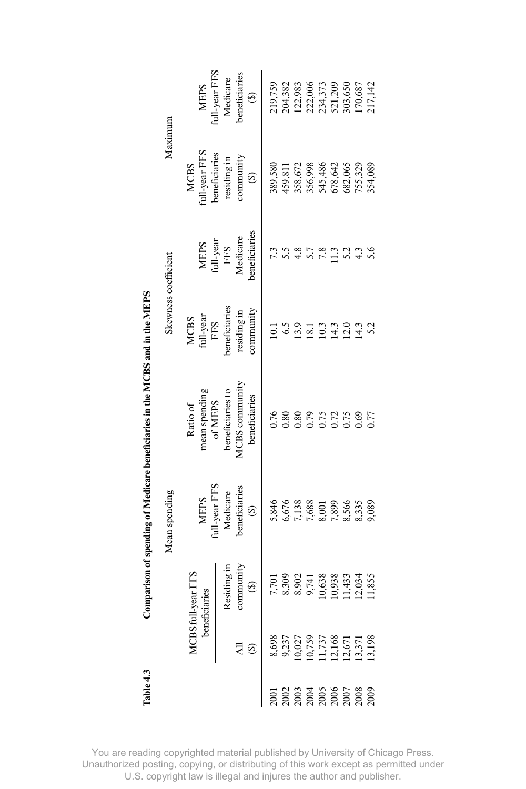| lable 4.3                                                                        |                                                                     |                                           |                                                                | Comparison of spending of Medicare beneficiaries in the MCBS and in the MEPS |                                             |                                                      |                                                                               |                                                                           |
|----------------------------------------------------------------------------------|---------------------------------------------------------------------|-------------------------------------------|----------------------------------------------------------------|------------------------------------------------------------------------------|---------------------------------------------|------------------------------------------------------|-------------------------------------------------------------------------------|---------------------------------------------------------------------------|
|                                                                                  |                                                                     |                                           | Mean spending                                                  |                                                                              | Skewness coefficient                        |                                                      | Maximum                                                                       |                                                                           |
|                                                                                  | benefi                                                              | il-year FFS<br>ciaries                    |                                                                | mean spending<br>of MEPS<br>Ratio of                                         | $$\ensuremath{\mathrm{MCS}}$$ full-year FFS |                                                      | ull-year FFS<br><b>MCBS</b>                                                   | dl-year FFS<br>NEPS                                                       |
|                                                                                  |                                                                     | Residing in<br>community<br>$\circledast$ | MEPS<br>full-year FFS<br>Medicare<br>beneficiaries<br>$\Theta$ | <b>ICBS</b> community<br>beneficiaries to<br>beneficiaries                   | veneficiaries<br>community<br>residing in   | eneficiaries<br>MEPS<br>full-year<br>FFS<br>Medicare | peneficiaries<br>community<br>residing in<br>$\odot$                          | peneficiaries<br>Medicare<br>$\widehat{\mathbf{e}}$                       |
|                                                                                  |                                                                     |                                           | 5,846                                                          | 0.76                                                                         |                                             |                                                      | 389,580                                                                       | 219,759                                                                   |
|                                                                                  | 8,698<br>9,237<br>10,027<br>11,737<br>11,737<br>11,13,371<br>11,198 |                                           | 5,676                                                          | 0.80                                                                         | $\frac{1}{2}$ 5.9<br>$\frac{5}{2}$          |                                                      |                                                                               |                                                                           |
| $\frac{203}{203}$<br>$\frac{303}{200}$<br>$\frac{305}{200}$<br>$\frac{305}{200}$ |                                                                     | 8,302<br>8,902<br>9,538<br>9,638          |                                                                | 0.80                                                                         |                                             |                                                      | 459,811<br>358,672<br>356,998<br>545,486<br>678,642<br>755,329<br>755,334,089 | 204,382<br>122,983<br>222,006<br>234,373<br>503,650<br>303,650<br>170,687 |
|                                                                                  |                                                                     |                                           |                                                                | 0.79                                                                         | $\overline{8}$ .                            |                                                      |                                                                               |                                                                           |
|                                                                                  |                                                                     |                                           | 7,138<br>7,688<br>8,001                                        | 0.75                                                                         | $\approx$                                   |                                                      |                                                                               |                                                                           |
|                                                                                  |                                                                     |                                           |                                                                |                                                                              |                                             |                                                      |                                                                               |                                                                           |
|                                                                                  |                                                                     | 10,938<br>11,433<br>12,034<br>11,855      | 7,899<br>8,566<br>8,335                                        | $0.75$<br>$0.69$                                                             | $14.0$<br>$14.0$<br>$14.3$                  |                                                      |                                                                               |                                                                           |
|                                                                                  |                                                                     |                                           |                                                                |                                                                              |                                             |                                                      |                                                                               |                                                                           |
|                                                                                  |                                                                     |                                           | 9,089                                                          | 0.77                                                                         | 5.2                                         | 5.6                                                  |                                                                               |                                                                           |

Í -d È ÷ ٠, -1 Č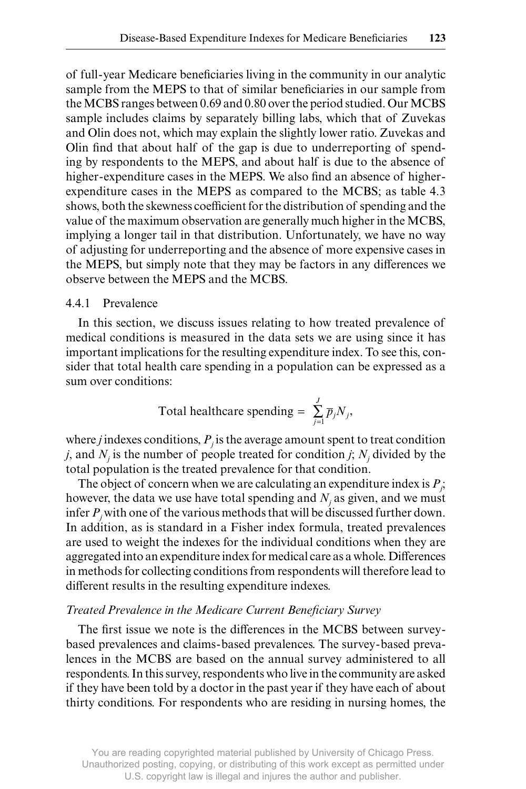of full-year Medicare beneficiaries living in the community in our analytic sample from the MEPS to that of similar beneficiaries in our sample from the MCBS ranges between 0.69 and 0.80 over the period studied. Our MCBS sample includes claims by separately billing labs, which that of Zuvekas and Olin does not, which may explain the slightly lower ratio. Zuvekas and Olin find that about half of the gap is due to underreporting of spending by respondents to the MEPS, and about half is due to the absence of higher-expenditure cases in the MEPS. We also find an absence of higherexpenditure cases in the MEPS as compared to the MCBS; as table 4.3 shows, both the skewness coefficient for the distribution of spending and the value of the maximum observation are generally much higher in the MCBS, implying a longer tail in that distribution. Unfortunately, we have no way of adjusting for underreporting and the absence of more expensive cases in the MEPS, but simply note that they may be factors in any differences we observe between the MEPS and the MCBS.

#### 4.4.1 Prevalence

In this section, we discuss issues relating to how treated prevalence of medical conditions is measured in the data sets we are using since it has important implications for the resulting expenditure index. To see this, consider that total health care spending in a population can be expressed as a sum over conditions:

Total healthcare spending = 
$$
\sum_{j=1}^{J} \overline{p}_j N_j
$$
,

where *j* indexes conditions,  $P_j$  is the average amount spent to treat condition *j*, and  $N_j$  is the number of people treated for condition *j*;  $N_j$  divided by the total population is the treated prevalence for that condition.

The object of concern when we are calculating an expenditure index is  $P_j$ ; however, the data we use have total spending and  $N_j$  as given, and we must infer  $P_j$  with one of the various methods that will be discussed further down. In addition, as is standard in a Fisher index formula, treated prevalences are used to weight the indexes for the individual conditions when they are aggregated into an expenditure index for medical care as a whole. Differences in methods for collecting conditions from respondents will therefore lead to different results in the resulting expenditure indexes.

### **Treated Prevalence in the Medicare Current Beneficiary Survey**

The first issue we note is the differences in the MCBS between surveybased prevalences and claims- based prevalences. The survey- based prevalences in the MCBS are based on the annual survey administered to all respondents. In this survey, respondents who live in the community are asked if they have been told by a doctor in the past year if they have each of about thirty conditions. For respondents who are residing in nursing homes, the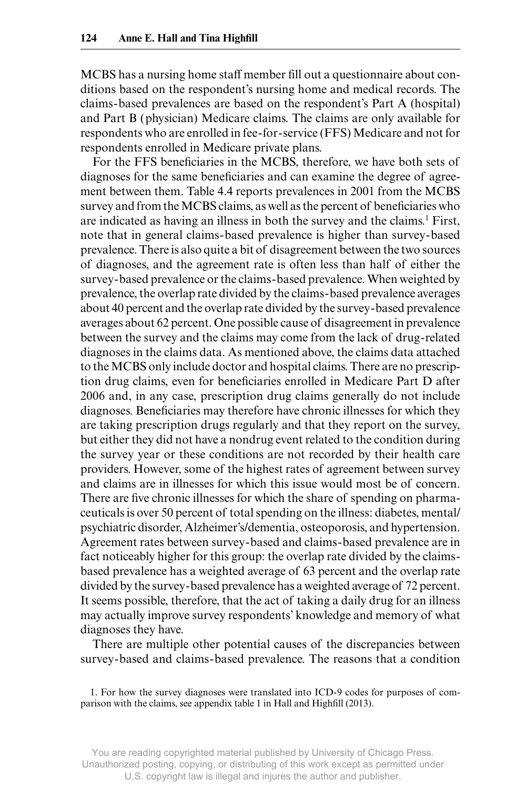MCBS has a nursing home staff member fill out a questionnaire about conditions based on the respondent's nursing home and medical records. The claims- based prevalences are based on the respondent's Part A (hospital) and Part B (physician) Medicare claims. The claims are only available for respondents who are enrolled in fee- for- service (FFS) Medicare and not for respondents enrolled in Medicare private plans.

For the FFS beneficiaries in the MCBS, therefore, we have both sets of diagnoses for the same beneficiaries and can examine the degree of agreement between them. Table 4.4 reports prevalences in 2001 from the MCBS survey and from the MCBS claims, as well as the percent of beneficiaries who are indicated as having an illness in both the survey and the claims.<sup>1</sup> First, note that in general claims- based prevalence is higher than survey- based prevalence. There is also quite a bit of disagreement between the two sources of diagnoses, and the agreement rate is often less than half of either the survey- based prevalence or the claims- based prevalence. When weighted by prevalence, the overlap rate divided by the claims- based prevalence averages about 40 percent and the overlap rate divided by the survey- based prevalence averages about 62 percent. One possible cause of disagreement in prevalence between the survey and the claims may come from the lack of drug- related diagnoses in the claims data. As mentioned above, the claims data attached to the MCBS only include doctor and hospital claims. There are no prescription drug claims, even for beneficiaries enrolled in Medicare Part D after 2006 and, in any case, prescription drug claims generally do not include diagnoses. Beneficiaries may therefore have chronic illnesses for which they are taking prescription drugs regularly and that they report on the survey, but either they did not have a nondrug event related to the condition during the survey year or these conditions are not recorded by their health care providers. However, some of the highest rates of agreement between survey and claims are in illnesses for which this issue would most be of concern. There are five chronic illnesses for which the share of spending on pharmaceuticals is over 50 percent of total spending on the illness: diabetes, mental/ psychiatric disorder, Alzheimer's/dementia, osteoporosis, and hypertension. Agreement rates between survey- based and claims- based prevalence are in fact noticeably higher for this group: the overlap rate divided by the claimsbased prevalence has a weighted average of 63 percent and the overlap rate divided by the survey- based prevalence has a weighted average of 72 percent. It seems possible, therefore, that the act of taking a daily drug for an illness may actually improve survey respondents' knowledge and memory of what diagnoses they have.

 There are multiple other potential causes of the discrepancies between survey- based and claims- based prevalence. The reasons that a condition

1. For how the survey diagnoses were translated into ICD-9 codes for purposes of comparison with the claims, see appendix table 1 in Hall and Highfill (2013).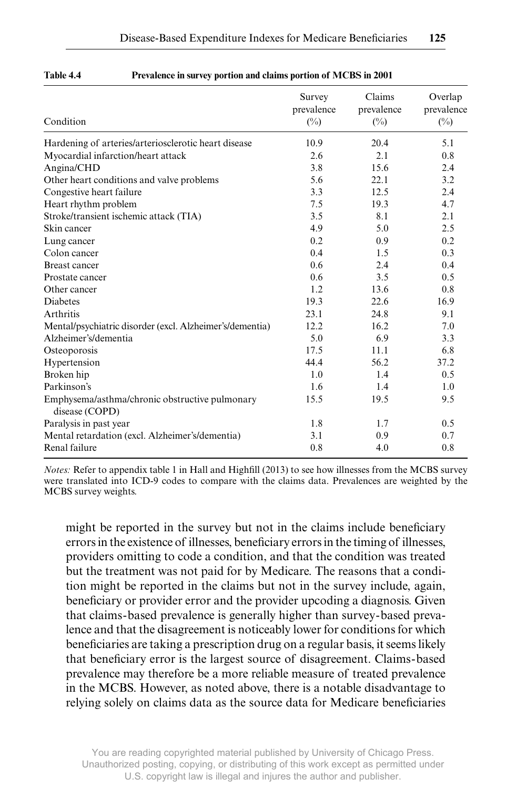| Condition                                                        | Survey<br>prevalence<br>$(\%)$ | Claims<br>prevalence<br>$(\%)$ | Overlap<br>prevalence<br>$(\%)$ |
|------------------------------------------------------------------|--------------------------------|--------------------------------|---------------------------------|
| Hardening of arteries/arteriosclerotic heart disease             | 10.9                           | 20.4                           | 5.1                             |
| Myocardial infarction/heart attack                               | 2.6                            | 2.1                            | 0.8                             |
| Angina/CHD                                                       | 3.8                            | 15.6                           | 2.4                             |
| Other heart conditions and valve problems                        | 5.6                            | 22.1                           | 3.2                             |
| Congestive heart failure                                         | 3.3                            | 12.5                           | 2.4                             |
| Heart rhythm problem                                             | 7.5                            | 19.3                           | 4.7                             |
| Stroke/transient ischemic attack (TIA)                           | 3.5                            | 8.1                            | 2.1                             |
| Skin cancer                                                      | 4.9                            | 5.0                            | 2.5                             |
| Lung cancer                                                      | 0.2                            | 0.9                            | 0.2                             |
| Colon cancer                                                     | 0.4                            | 1.5                            | 0.3                             |
| <b>Breast cancer</b>                                             | 0.6                            | 2.4                            | 0.4                             |
| Prostate cancer                                                  | 0.6                            | 3.5                            | 0.5                             |
| Other cancer                                                     | 1.2                            | 13.6                           | 0.8                             |
| Diabetes                                                         | 19.3                           | 22.6                           | 16.9                            |
| Arthritis                                                        | 23.1                           | 24.8                           | 9.1                             |
| Mental/psychiatric disorder (excl. Alzheimer's/dementia)         | 12.2                           | 16.2                           | 7.0                             |
| Alzheimer's/dementia                                             | 5.0                            | 6.9                            | 3.3                             |
| Osteoporosis                                                     | 17.5                           | 11.1                           | 6.8                             |
| Hypertension                                                     | 44.4                           | 56.2                           | 37.2                            |
| Broken hip                                                       | 1.0                            | 1.4                            | 0.5                             |
| Parkinson's                                                      | 1.6                            | 1.4                            | 1.0                             |
| Emphysema/asthma/chronic obstructive pulmonary<br>disease (COPD) | 15.5                           | 19.5                           | 9.5                             |
| Paralysis in past year                                           | 1.8                            | 1.7                            | 0.5                             |
| Mental retardation (excl. Alzheimer's/dementia)                  | 3.1                            | 0.9                            | 0.7                             |
| Renal failure                                                    | 0.8                            | 4.0                            | 0.8                             |

#### **Table 4.4 Prevalence in survey portion and claims portion of MCBS in 2001**

*Notes:* Refer to appendix table 1 in Hall and Highfill (2013) to see how illnesses from the MCBS survey were translated into ICD-9 codes to compare with the claims data. Prevalences are weighted by the MCBS survey weights.

might be reported in the survey but not in the claims include beneficiary errors in the existence of illnesses, beneficiary errors in the timing of illnesses, providers omitting to code a condition, and that the condition was treated but the treatment was not paid for by Medicare. The reasons that a condition might be reported in the claims but not in the survey include, again, beneficiary or provider error and the provider upcoding a diagnosis. Given that claims- based prevalence is generally higher than survey- based prevalence and that the disagreement is noticeably lower for conditions for which beneficiaries are taking a prescription drug on a regular basis, it seems likely that beneficiary error is the largest source of disagreement. Claims-based prevalence may therefore be a more reliable measure of treated prevalence in the MCBS. However, as noted above, there is a notable disadvantage to relying solely on claims data as the source data for Medicare beneficiaries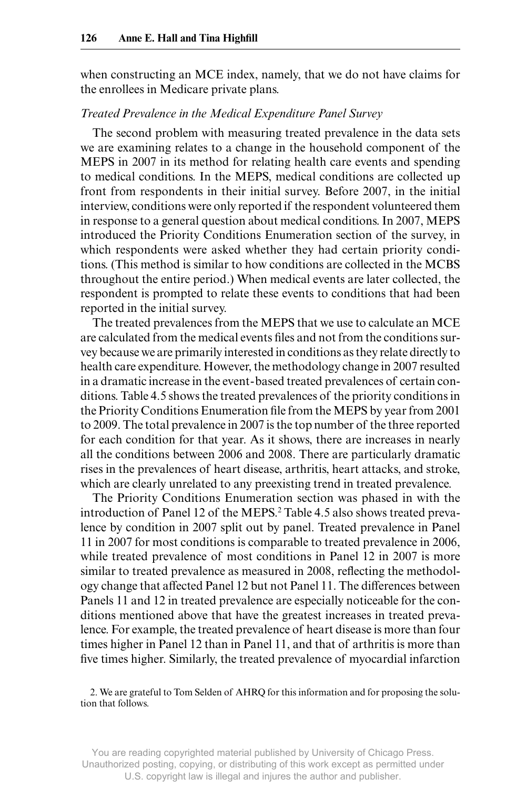when constructing an MCE index, namely, that we do not have claims for the enrollees in Medicare private plans.

#### *Treated Prevalence in the Medical Expenditure Panel Survey*

The second problem with measuring treated prevalence in the data sets we are examining relates to a change in the household component of the MEPS in 2007 in its method for relating health care events and spending to medical conditions. In the MEPS, medical conditions are collected up front from respondents in their initial survey. Before 2007, in the initial interview, conditions were only reported if the respondent volunteered them in response to a general question about medical conditions. In 2007, MEPS introduced the Priority Conditions Enumeration section of the survey, in which respondents were asked whether they had certain priority conditions. (This method is similar to how conditions are collected in the MCBS throughout the entire period.) When medical events are later collected, the respondent is prompted to relate these events to conditions that had been reported in the initial survey.

The treated prevalences from the MEPS that we use to calculate an MCE are calculated from the medical events files and not from the conditions survey because we are primarily interested in conditions as they relate directly to health care expenditure. However, the methodology change in 2007 resulted in a dramatic increase in the event- based treated prevalences of certain conditions. Table 4.5 shows the treated prevalences of the priority conditions in the Priority Conditions Enumeration file from the MEPS by year from 2001 to 2009. The total prevalence in 2007 is the top number of the three reported for each condition for that year. As it shows, there are increases in nearly all the conditions between 2006 and 2008. There are particularly dramatic rises in the prevalences of heart disease, arthritis, heart attacks, and stroke, which are clearly unrelated to any preexisting trend in treated prevalence.

 The Priority Conditions Enumeration section was phased in with the introduction of Panel 12 of the MEPS.<sup>2</sup> Table 4.5 also shows treated prevalence by condition in 2007 split out by panel. Treated prevalence in Panel 11 in 2007 for most conditions is comparable to treated prevalence in 2006, while treated prevalence of most conditions in Panel 12 in 2007 is more similar to treated prevalence as measured in 2008, reflecting the methodology change that affected Panel 12 but not Panel 11. The differences between Panels 11 and 12 in treated prevalence are especially noticeable for the conditions mentioned above that have the greatest increases in treated prevalence. For example, the treated prevalence of heart disease is more than four times higher in Panel 12 than in Panel 11, and that of arthritis is more than five times higher. Similarly, the treated prevalence of myocardial infarction

2. We are grateful to Tom Selden of AHRQ for this information and for proposing the solution that follows.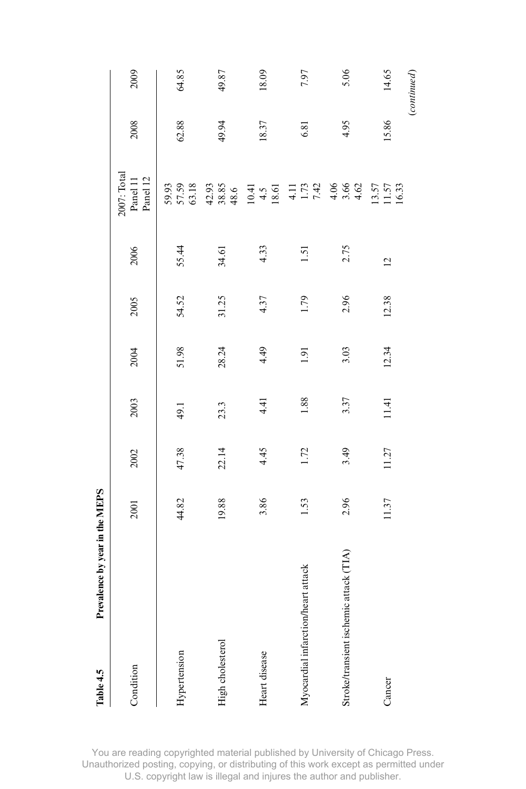| Table 4.5                              | Prevalence by year in the MEPS |       |       |       |       |       |                |                                                |       |             |
|----------------------------------------|--------------------------------|-------|-------|-------|-------|-------|----------------|------------------------------------------------|-------|-------------|
| Condition                              |                                | 2001  | 2002  | 2003  | 2004  | 2005  | 2006           | 2007: Total<br>Panel 12<br>Panel 11            | 2008  | 2009        |
| Hypertension                           |                                | 44.82 | 47.38 | 49.1  | 51.98 | 54.52 | 55.44          | 57.59<br>63.18<br>59.93                        | 62.88 | 64.85       |
| High cholesterol                       |                                | 19.88 | 22.14 | 23.3  | 28.24 | 31.25 | 34.61          | $42.93\n38.85\n48.6$                           | 49.94 | 49.87       |
| Heart disease                          |                                | 3.86  | 4.45  | 4.41  | 4.49  | 4.37  | 4.33           | $10.41$<br>4.5<br>18.61                        | 18.37 | 18.09       |
| Myocardial infarction/heart attack     |                                | 1.53  | 1.72  | 1.88  | 1.91  | 1.79  | 1.51           | $\begin{array}{c} 4.11 \\ 1.73 \\ \end{array}$ | 6.81  | 7.97        |
| Stroke/transient ischemic attack (TIA) |                                | 2.96  | 3.49  | 3.37  | 3.03  | 2.96  | 2.75           | $4.86$<br>$4.62$                               | 4.95  | 5.06        |
| Cancer                                 |                                | 11.37 | 11.27 | 11.41 | 12.34 | 12.38 | $\overline{2}$ | $\frac{13.57}{11.57}$                          | 15.86 | 14.65       |
|                                        |                                |       |       |       |       |       |                |                                                |       | (continued) |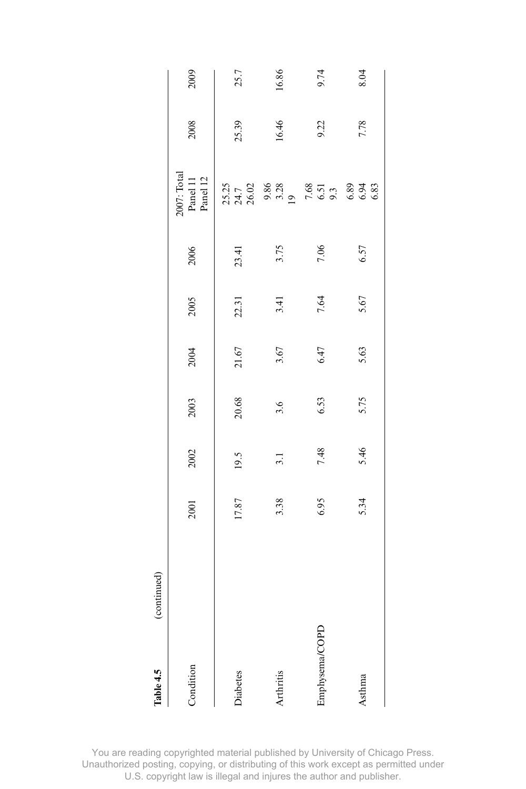| Table 4.5       | (continued) |       |      |       |           |       |       |                                                                          |       |       |
|-----------------|-------------|-------|------|-------|-----------|-------|-------|--------------------------------------------------------------------------|-------|-------|
| Condition       |             | 2001  | 2002 | 2003  | 2004      | 2005  | 2006  | 2007: Total<br>Panel 11<br>Panel 12                                      | 2008  | 2009  |
| <b>Diabetes</b> |             | 17.87 | 19.5 | 20.68 | $21.67\,$ | 22.31 | 23.41 |                                                                          | 25.39 | 25.7  |
| Arthritis       |             | 3.38  | 3.1  | 3.6   | 3.67      | 3.41  | 3.75  | 1370 888 895 896 896<br>1378 900 900 900 900 900<br>1378 900 900 900 900 | 16.46 | 16.86 |
| Emphysema/COPD  |             | 6.95  | 7.48 | 6.53  | 6.47      | 7.64  | 7.06  |                                                                          | 9.22  | 9.74  |
| Asthma          |             | 5.34  | 5.46 | 5.75  | 5.63      | 5.67  | 6.57  |                                                                          | 7.78  | 8.04  |
|                 |             |       |      |       |           |       |       |                                                                          |       |       |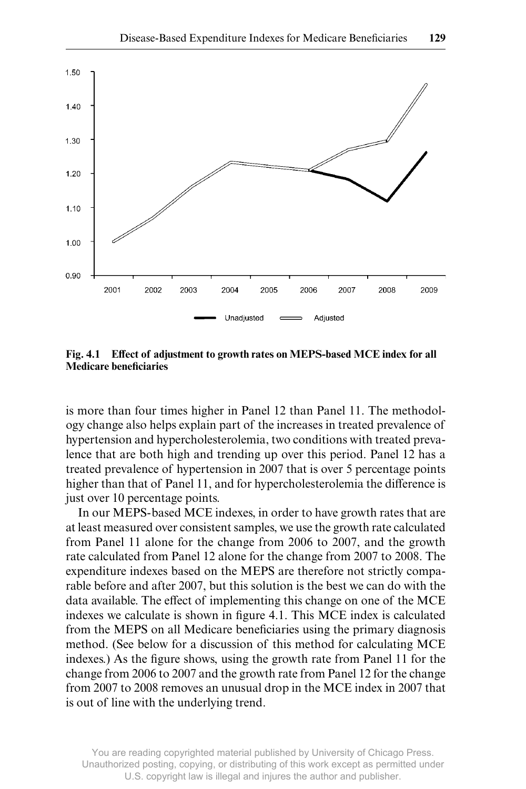

Fig. 4.1 Effect of adjustment to growth rates on MEPS-based MCE index for all **Medicare beneficiaries** 

is more than four times higher in Panel 12 than Panel 11. The methodology change also helps explain part of the increases in treated prevalence of hypertension and hypercholesterolemia, two conditions with treated prevalence that are both high and trending up over this period. Panel 12 has a treated prevalence of hypertension in 2007 that is over 5 percentage points higher than that of Panel 11, and for hypercholesterolemia the difference is just over 10 percentage points.

In our MEPS- based MCE indexes, in order to have growth rates that are at least measured over consistent samples, we use the growth rate calculated from Panel 11 alone for the change from 2006 to 2007, and the growth rate calculated from Panel 12 alone for the change from 2007 to 2008. The expenditure indexes based on the MEPS are therefore not strictly comparable before and after 2007, but this solution is the best we can do with the data available. The effect of implementing this change on one of the MCE indexes we calculate is shown in figure 4.1. This MCE index is calculated from the MEPS on all Medicare beneficiaries using the primary diagnosis method. (See below for a discussion of this method for calculating MCE indexes.) As the figure shows, using the growth rate from Panel 11 for the change from 2006 to 2007 and the growth rate from Panel 12 for the change from 2007 to 2008 removes an unusual drop in the MCE index in 2007 that is out of line with the underlying trend.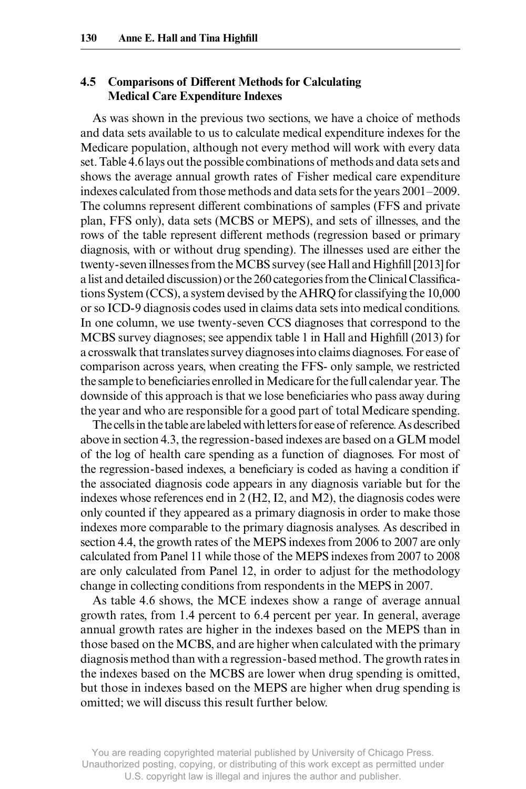# **4.5 Comparisons of Different Methods for Calculating Medical Care Expenditure Indexes**

As was shown in the previous two sections, we have a choice of methods and data sets available to us to calculate medical expenditure indexes for the Medicare population, although not every method will work with every data set. Table 4.6 lays out the possible combinations of methods and data sets and shows the average annual growth rates of Fisher medical care expenditure indexes calculated from those methods and data sets for the years 2001–2009. The columns represent different combinations of samples (FFS and private plan, FFS only), data sets (MCBS or MEPS), and sets of illnesses, and the rows of the table represent different methods (regression based or primary diagnosis, with or without drug spending). The illnesses used are either the twenty-seven illnesses from the MCBS survey (see Hall and Highfill [2013] for a list and detailed discussion) or the 260 categories from the Clinical Classifications System (CCS), a system devised by the AHRQ for classifying the 10,000 or so ICD- 9 diagnosis codes used in claims data sets into medical conditions. In one column, we use twenty- seven CCS diagnoses that correspond to the MCBS survey diagnoses; see appendix table 1 in Hall and Highfill (2013) for a crosswalk that translates survey diagnoses into claims diagnoses. For ease of comparison across years, when creating the FFS- only sample, we restricted the sample to beneficiaries enrolled in Medicare for the full calendar year. The downside of this approach is that we lose beneficiaries who pass away during the year and who are responsible for a good part of total Medicare spending.

 The cells in the table are labeled with letters for ease of reference. As described above in section 4.3, the regression- based indexes are based on a GLM model of the log of health care spending as a function of diagnoses. For most of the regression-based indexes, a beneficiary is coded as having a condition if the associated diagnosis code appears in any diagnosis variable but for the indexes whose references end in 2 (H2, I2, and M2), the diagnosis codes were only counted if they appeared as a primary diagnosis in order to make those indexes more comparable to the primary diagnosis analyses. As described in section 4.4, the growth rates of the MEPS indexes from 2006 to 2007 are only calculated from Panel 11 while those of the MEPS indexes from 2007 to 2008 are only calculated from Panel 12, in order to adjust for the methodology change in collecting conditions from respondents in the MEPS in 2007.

As table 4.6 shows, the MCE indexes show a range of average annual growth rates, from 1.4 percent to 6.4 percent per year. In general, average annual growth rates are higher in the indexes based on the MEPS than in those based on the MCBS, and are higher when calculated with the primary diagnosis method than with a regression- based method. The growth rates in the indexes based on the MCBS are lower when drug spending is omitted, but those in indexes based on the MEPS are higher when drug spending is omitted; we will discuss this result further below.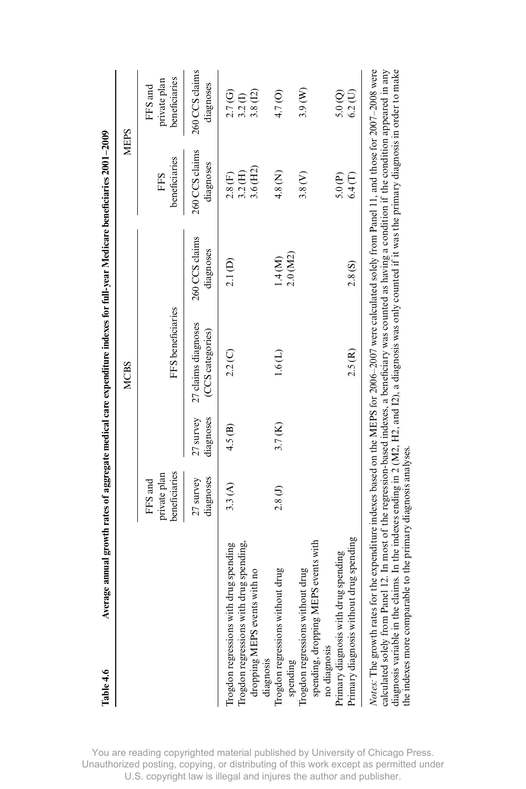|                                                                                                                                                                                                                                                                                                                                                                                                                                                                           |                                          |                        | <b>MCBS</b>                             |                             |                             | MEPS                                     |
|---------------------------------------------------------------------------------------------------------------------------------------------------------------------------------------------------------------------------------------------------------------------------------------------------------------------------------------------------------------------------------------------------------------------------------------------------------------------------|------------------------------------------|------------------------|-----------------------------------------|-----------------------------|-----------------------------|------------------------------------------|
|                                                                                                                                                                                                                                                                                                                                                                                                                                                                           | beneficiaries<br>private plan<br>FFS and |                        | FFS beneficiaries                       |                             | beneficiaries<br>FFS        | beneficiaries<br>private plan<br>FFS and |
|                                                                                                                                                                                                                                                                                                                                                                                                                                                                           | diagnoses<br>27 survey                   | diagnoses<br>27 survey | 27 claims diagnoses<br>(CCS categories) | 260 CCS claims<br>diagnoses | 260 CCS claims<br>diagnoses | 260 CCS claims<br>diagnoses              |
| Trogdon regressions with drug spending,<br>Trogdon regressions with drug spending<br>dropping MEPS events with no                                                                                                                                                                                                                                                                                                                                                         | 3.3(A)                                   | 4.5(B)                 | $2.2\,(C)$                              | 2.1(D)                      | 3.6(H2)<br>3.2(H)<br>2.8(F) | 3.8(12)<br>2.7(G)<br>3.2 <sub>(1)</sub>  |
| Trogdon regressions without drug<br>diagnosis                                                                                                                                                                                                                                                                                                                                                                                                                             | 2.8(1)                                   | 3.7(K)                 | 1.6(L)                                  | 1.4(M)                      | 4.8 <sup>(N)</sup>          | 4.7(0)                                   |
| spending                                                                                                                                                                                                                                                                                                                                                                                                                                                                  |                                          |                        |                                         | $2.0($ M $2)$               | 3.8(V)                      | 3.9(W)                                   |
| Trogdon regressions without drug<br>spending, dropping MEPS events with<br>no diagnosis<br>Primary diagnosis with drug spending<br>Primary diagnosis without drug spending                                                                                                                                                                                                                                                                                                |                                          |                        | 2.5(R)                                  | 2.8(S)                      | 6.4(T)<br>5.0(P)            | 5.0(<br>$6.2($ U                         |
| <i>Notes</i> : The growth rates for the expenditure indexes based on the MEPS for 2006–2007 were calculated solely from Panel 11, and those for 2007–2008 were<br>calculated solely from Panel 12. In most of the regression-based inde<br>diagnosis variable in the claims. In the indexes ending in 2 (M2, H2, and I2), a diagnosis was only counted if it was the primary diagnosis in order to make<br>the indexes more comparable to the primary diagnosis analyses. |                                          |                        |                                         |                             |                             |                                          |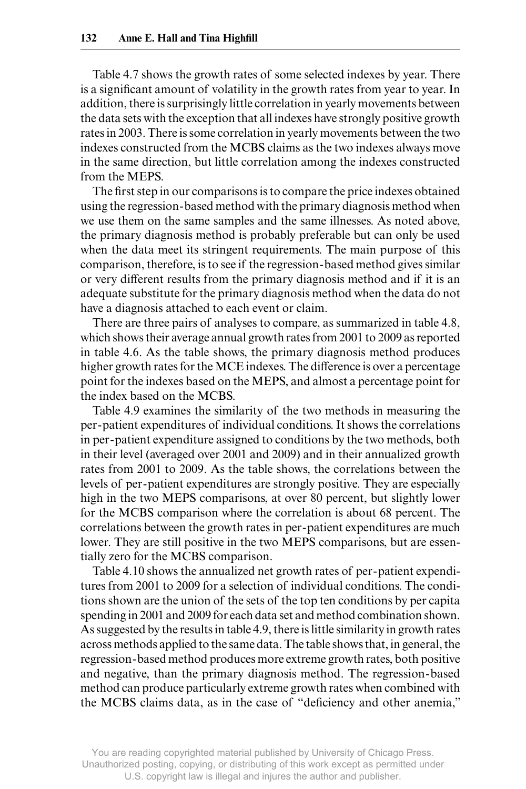Table 4.7 shows the growth rates of some selected indexes by year. There is a significant amount of volatility in the growth rates from year to year. In addition, there is surprisingly little correlation in yearly movements between the data sets with the exception that all indexes have strongly positive growth rates in 2003. There is some correlation in yearly movements between the two indexes constructed from the MCBS claims as the two indexes always move in the same direction, but little correlation among the indexes constructed from the MEPS.

The first step in our comparisons is to compare the price indexes obtained using the regression- based method with the primary diagnosis method when we use them on the same samples and the same illnesses. As noted above, the primary diagnosis method is probably preferable but can only be used when the data meet its stringent requirements. The main purpose of this comparison, therefore, is to see if the regression- based method gives similar or very different results from the primary diagnosis method and if it is an adequate substitute for the primary diagnosis method when the data do not have a diagnosis attached to each event or claim.

There are three pairs of analyses to compare, as summarized in table 4.8, which shows their average annual growth rates from 2001 to 2009 as reported in table 4.6. As the table shows, the primary diagnosis method produces higher growth rates for the MCE indexes. The difference is over a percentage point for the indexes based on the MEPS, and almost a percentage point for the index based on the MCBS.

 Table 4.9 examines the similarity of the two methods in measuring the per- patient expenditures of individual conditions. It shows the correlations in per- patient expenditure assigned to conditions by the two methods, both in their level (averaged over 2001 and 2009) and in their annualized growth rates from 2001 to 2009. As the table shows, the correlations between the levels of per- patient expenditures are strongly positive. They are especially high in the two MEPS comparisons, at over 80 percent, but slightly lower for the MCBS comparison where the correlation is about 68 percent. The correlations between the growth rates in per- patient expenditures are much lower. They are still positive in the two MEPS comparisons, but are essentially zero for the MCBS comparison.

 Table 4.10 shows the annualized net growth rates of per- patient expenditures from 2001 to 2009 for a selection of individual conditions. The conditions shown are the union of the sets of the top ten conditions by per capita spending in 2001 and 2009 for each data set and method combination shown. As suggested by the results in table 4.9, there is little similarity in growth rates across methods applied to the same data. The table shows that, in general, the regression- based method produces more extreme growth rates, both positive and negative, than the primary diagnosis method. The regression- based method can produce particularly extreme growth rates when combined with the MCBS claims data, as in the case of "deficiency and other anemia,"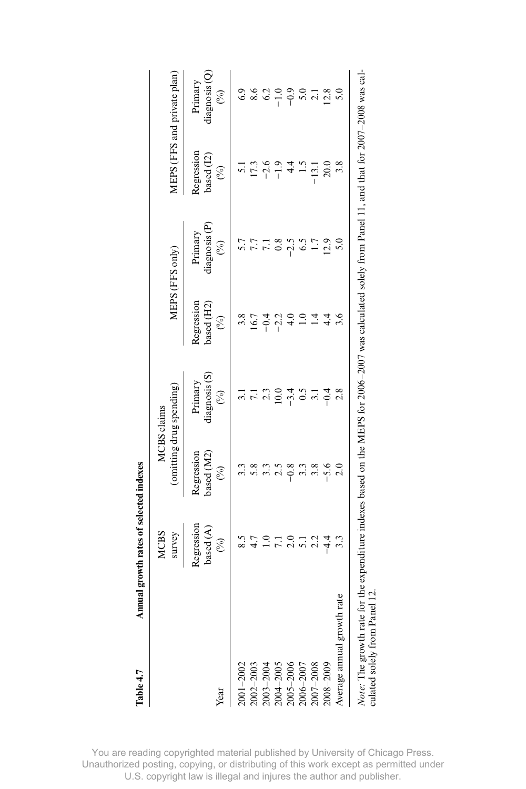|                                                               | <b>MCBS</b><br>survey                                          |                                           | (omitting drug spending)<br><b>MCBS</b> claims |                                           | MEPS (FFS only)                                                                                              |                                                    | MEPS (FFS and private plan)               |
|---------------------------------------------------------------|----------------------------------------------------------------|-------------------------------------------|------------------------------------------------|-------------------------------------------|--------------------------------------------------------------------------------------------------------------|----------------------------------------------------|-------------------------------------------|
| Year                                                          | Regression<br>based $(\mathcal{A})$<br>$\mathcal{C}_{\bullet}$ | based (M2)<br>Regression<br>$\mathcal{E}$ | diagnosis (S)<br>Primary<br>$\mathcal{S}$      | Regression<br>oased (H2)<br>$\mathcal{S}$ | liagnosis (P)<br>Primary<br>$\mathcal{S}$                                                                    | <b>Regression</b><br>based $(12)$<br>$\mathcal{E}$ | diagnosis (Q)<br>Primary<br>$\mathcal{E}$ |
| $2001 - 2002$                                                 | 8.5                                                            |                                           |                                                | 3.8                                       | 5.7                                                                                                          | $\overline{5}$                                     | 6.9                                       |
|                                                               |                                                                | 5.8                                       | $\overline{z}$                                 | 16.7                                      | 7.7                                                                                                          | 17.3                                               | 8.6                                       |
|                                                               | $\Xi$                                                          | 3.3                                       | 2.3                                            | $-0.4$                                    | 7.1                                                                                                          | $-2.6$                                             | 6.2                                       |
|                                                               |                                                                | 2.5                                       | 10.0                                           | $-2.2$                                    | 0.8                                                                                                          | $-1.9$                                             | $-1.0$                                    |
| 2002-2003<br>2003-2004<br>2004-2005<br>2005-2006<br>2006-2007 | $\frac{0}{2}$                                                  | $-0.8$                                    | $-3.4$                                         |                                           | $-2.5$                                                                                                       |                                                    | $-0.9$                                    |
|                                                               | $\overline{51}$                                                |                                           | $\frac{5}{2}$                                  | $\supseteq$                               | $\frac{6.5}{5}$                                                                                              |                                                    | 5.0                                       |
| 2007-2008                                                     | 2.2                                                            | 3.8                                       | $\overline{3.1}$                               | 14                                        | 1.7                                                                                                          | $-13.1$                                            | 2.1                                       |
| $008 - 2009$                                                  | न<br>न                                                         | $-5.6$                                    | $-0.4$                                         | 4.4                                       | 12.9                                                                                                         | $\approx 0$                                        | 12.8                                      |
| Average amual growth                                          |                                                                |                                           | 2.8                                            | 3.6                                       |                                                                                                              | 3.8                                                |                                           |
| $\frac{1}{2}$<br>Note: The growth rate                        | he expenditure :                                               |                                           |                                                |                                           | indexes based on the MEPS for 2006–2007 was calculated solely from Panel 11, and that for 2007–2008 was cal- |                                                    |                                           |

**Table 4.7 Annual growth rates of selected indexes**

Table 4.7

Annual growth rates of selected indexes

culated solely from Panel 12. culated solely from Panel 12.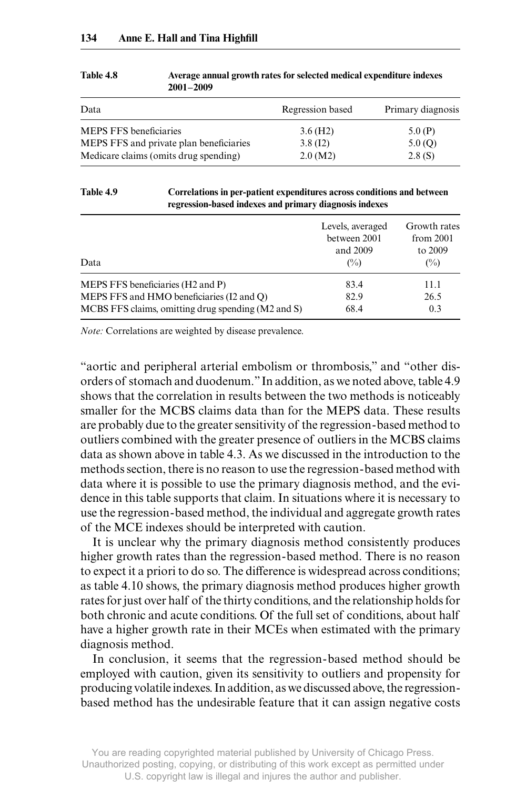| Data                                    | Regression based | Primary diagnosis |
|-----------------------------------------|------------------|-------------------|
| <b>MEPS FFS</b> beneficiaries           | $3.6$ (H2)       | 5.0(P)            |
| MEPS FFS and private plan beneficiaries | 3.8(12)          | 5.0(Q)            |
| Medicare claims (omits drug spending)   | 2.0(M2)          | 2.8(S)            |

#### **Table 4.8 Average annual growth rates for selected medical expenditure indexes 2001–2009**

#### **Table 4.9 Correlations in per- patient expenditures across conditions and between regression- based indexes and primary diagnosis indexes**

| Data                                               | Levels, averaged<br>between 2001<br>and 2009<br>$\frac{O(1)}{O(1)}$ | Growth rates<br>from 2001<br>to 2009<br>$(\%)$ |
|----------------------------------------------------|---------------------------------------------------------------------|------------------------------------------------|
| MEPS FFS beneficiaries (H2 and P)                  | 83.4                                                                | 11.1                                           |
| MEPS FFS and HMO beneficiaries (I2 and Q)          | 82.9                                                                | 26.5                                           |
| MCBS FFS claims, omitting drug spending (M2 and S) | 68.4                                                                | 0.3                                            |

*Note:* Correlations are weighted by disease prevalence.

"aortic and peripheral arterial embolism or thrombosis," and "other disorders of stomach and duodenum." In addition, as we noted above, table 4.9 shows that the correlation in results between the two methods is noticeably smaller for the MCBS claims data than for the MEPS data. These results are probably due to the greater sensitivity of the regression- based method to outliers combined with the greater presence of outliers in the MCBS claims data as shown above in table 4.3. As we discussed in the introduction to the methods section, there is no reason to use the regression- based method with data where it is possible to use the primary diagnosis method, and the evidence in this table supports that claim. In situations where it is necessary to use the regression- based method, the individual and aggregate growth rates of the MCE indexes should be interpreted with caution.

 It is unclear why the primary diagnosis method consistently produces higher growth rates than the regression- based method. There is no reason to expect it a priori to do so. The difference is widespread across conditions; as table 4.10 shows, the primary diagnosis method produces higher growth rates for just over half of the thirty conditions, and the relationship holds for both chronic and acute conditions. Of the full set of conditions, about half have a higher growth rate in their MCEs when estimated with the primary diagnosis method.

In conclusion, it seems that the regression- based method should be employed with caution, given its sensitivity to outliers and propensity for producing volatile indexes. In addition, as we discussed above, the regressionbased method has the undesirable feature that it can assign negative costs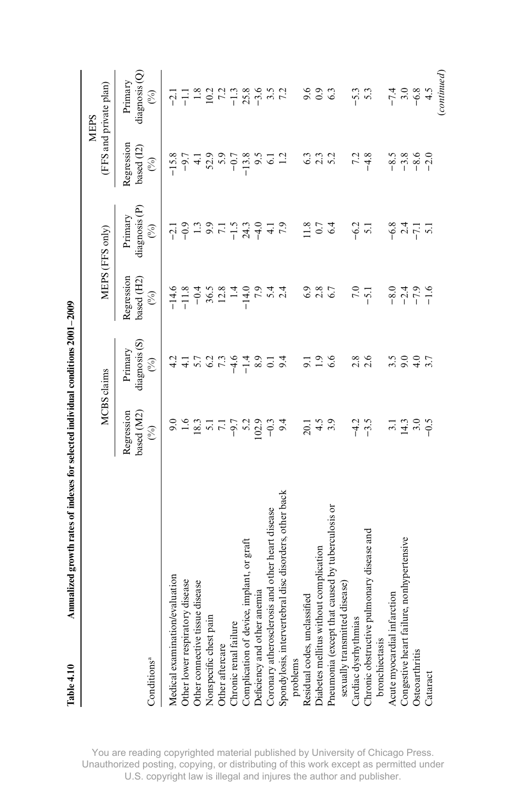|                                                                                                                        |                                                        | <b>MCBS</b> claims                                 |                                               | MEPS (FFS only)                                     |                                                                                         | (FFS and private plan)<br>MEPS            |
|------------------------------------------------------------------------------------------------------------------------|--------------------------------------------------------|----------------------------------------------------|-----------------------------------------------|-----------------------------------------------------|-----------------------------------------------------------------------------------------|-------------------------------------------|
| Conditions <sup>a</sup>                                                                                                | Regression<br>based (M2)<br>$\mathcal{E}$              | diagnosis (S)<br>Primary<br>ි                      | Regression<br>based (H2)<br>$\mathcal{E}$     | diagnosis (P)<br>Primary<br>$\widehat{\mathcal{E}}$ | Regression<br>based (12)<br>$\mathcal{S}$                                               | diagnosis (Q)<br>Primary<br>$\mathcal{S}$ |
| Medical examination/evaluation                                                                                         | 9.0                                                    | 4.2                                                |                                               |                                                     |                                                                                         |                                           |
| Other lower respiratory disease                                                                                        |                                                        |                                                    |                                               |                                                     |                                                                                         |                                           |
|                                                                                                                        | $16.3$<br>$18.3$<br>$7.7$<br>$-9.7$<br>$-0.2$<br>$0.0$ | $4.7$<br>$5.2$<br>$7.3$<br>$6.4$<br>$1.4$<br>$1.4$ | $-14.6$<br>$-11.8$<br>$-0.4$<br>36.5<br>36.28 | $71$ $9$ $13$ $9$ $15$ $15$ $15$ $15$ $14$ $14$     | $-15.8$<br>$-9.7$<br>$-4.2$<br>$-9.5$<br>$-1.3$<br>$-9.7$<br>$-1.3$<br>$-1.2$<br>$-1.2$ |                                           |
| Other connective tissue disease<br>Nonspecific chest pain                                                              |                                                        |                                                    |                                               |                                                     |                                                                                         |                                           |
|                                                                                                                        |                                                        |                                                    |                                               |                                                     |                                                                                         |                                           |
| Other aftercare<br>Chronic renal failure                                                                               |                                                        |                                                    | 1.4                                           |                                                     |                                                                                         |                                           |
|                                                                                                                        |                                                        |                                                    | $-14.0$                                       |                                                     |                                                                                         |                                           |
| Complication of device, implant, or graft<br>Deficiency and other anemia                                               |                                                        | 8.9                                                | 7.9                                           |                                                     |                                                                                         |                                           |
|                                                                                                                        | $-0.3$                                                 | $\overline{C}$                                     | 5.4                                           |                                                     |                                                                                         |                                           |
| Coronary atherosclerosis and other heart disease<br>Spondylosis, intervertebral disc disorders, other back<br>problems | 9.4                                                    | 9.4                                                | 2.4                                           | 7.9                                                 |                                                                                         |                                           |
|                                                                                                                        |                                                        |                                                    |                                               |                                                     |                                                                                         |                                           |
| Residual codes, unclassified                                                                                           | 20.1                                                   |                                                    | 6.9                                           |                                                     |                                                                                         | 9.6                                       |
| Diabetes mellitus without complication                                                                                 | 4.5                                                    | $\frac{1}{1}9.6$                                   | $2.8$<br>6.7                                  | $11.8$<br>0.7                                       | 83<br>833<br>93                                                                         | $_{0.9}$                                  |
| Pneumonia (except that caused by tuberculosis or<br>sexually transmitted disease)                                      | 3.9                                                    |                                                    |                                               | 6.4                                                 |                                                                                         | 63                                        |
|                                                                                                                        |                                                        |                                                    |                                               |                                                     |                                                                                         |                                           |
|                                                                                                                        |                                                        | 2.8                                                | 7.0                                           |                                                     |                                                                                         |                                           |
| Cardiac dysrhythmias<br>Chronic obstructive pulmonary disease and                                                      | $-4.2$<br>$-3.5$                                       | 2.6                                                | $-5.1$                                        | $-6.2$<br>5.1                                       | $7.\overline{3}$<br>-4.8                                                                | $-5.3$                                    |
|                                                                                                                        |                                                        |                                                    |                                               |                                                     |                                                                                         |                                           |
| bronchiectasis<br>Acute myocardial infarction                                                                          |                                                        | 3.5                                                |                                               |                                                     |                                                                                         |                                           |
| re, nonhypertensive<br>Congestive heart failu:<br>Osteoarthritis                                                       | $14.3$<br>3.0                                          | 9.0                                                | $0, 4, 0, 6$<br>$0, 4, 0, 6$<br>$0, 4, 0, 6$  | $-6.8$<br>$-7.1$                                    | ۹ ۹ ۹ ۹ ۹<br>۴ ۹ ۹ ۹ ۹<br>۳ ۹ ۹ ۹                                                       | $-7.4$<br>$-6.8$                          |
|                                                                                                                        |                                                        | 4.0                                                |                                               |                                                     |                                                                                         |                                           |
| Cataract                                                                                                               | $-0.5$                                                 | 3.7                                                |                                               | $\overline{5}$                                      |                                                                                         | 4.5                                       |
|                                                                                                                        |                                                        |                                                    |                                               |                                                     |                                                                                         | (continued)                               |

Annualized growth rates of indexes for selected individual conditions 2001-2009 **Table 4.10 Annualized growth rates of indexes for selected individual conditions 2001–2009**

Table 4.10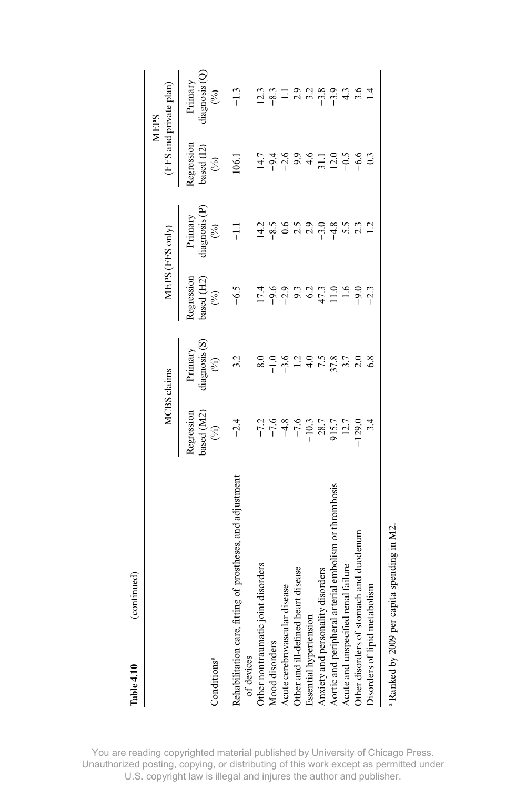| Table 4.10                         | continued)                                                                                 |                                                                                                                                                                |                                                                |                                            |                                                                         |                                           |                                           |
|------------------------------------|--------------------------------------------------------------------------------------------|----------------------------------------------------------------------------------------------------------------------------------------------------------------|----------------------------------------------------------------|--------------------------------------------|-------------------------------------------------------------------------|-------------------------------------------|-------------------------------------------|
|                                    |                                                                                            |                                                                                                                                                                | <b>MCBS</b> claims                                             |                                            | MEPS (FFS only)                                                         |                                           | (FFS and private plan)<br><b>MEPS</b>     |
| Conditions <sup>ª</sup>            |                                                                                            | based $(M2)$<br>Regression<br>$\circledcirc$                                                                                                                   | diagnosis (S)<br>Primary<br>$\mathcal{E}$                      | based (H2)<br>Regression<br>$\circledcirc$ | diagnosis (P)<br>Primary<br>$\mathcal{E}$                               | Regression<br>based (12)<br>$\mathcal{C}$ | diagnosis (Q)<br>Primary<br>$\mathcal{E}$ |
|                                    |                                                                                            |                                                                                                                                                                |                                                                |                                            |                                                                         |                                           |                                           |
| of devices                         | Rehabilitation care, fitting of prostheses, and adjustment                                 | $-2.4$                                                                                                                                                         | 3.2                                                            | $-6.5$                                     | 류                                                                       | 106.1                                     | $-1.3$                                    |
| Other nontraumatic joint disorders |                                                                                            |                                                                                                                                                                | 8.0                                                            |                                            |                                                                         |                                           | 12.3                                      |
| Mood disorders                     |                                                                                            |                                                                                                                                                                |                                                                |                                            |                                                                         |                                           | $-8.3$                                    |
| Acute cerebrovascular              | disease                                                                                    |                                                                                                                                                                |                                                                |                                            | $\frac{1}{4}$ $\frac{3}{8}$ $\frac{6}{9}$ $\frac{6}{10}$ $\frac{3}{10}$ |                                           |                                           |
| Other and ill-defined h            | eart disease                                                                               |                                                                                                                                                                |                                                                |                                            |                                                                         |                                           | $\frac{1}{2}$ 3.2                         |
| Essential hypertension             |                                                                                            | $-77$<br>$-78$<br>$-76$<br>$-76$<br>$-76$<br>$-76$<br>$-76$<br>$-76$<br>$-76$<br>$-76$<br>$-76$<br>$-76$<br>$-76$<br>$-76$<br>$-76$<br>$-76$<br>$-76$<br>$-76$ | $-1.99$<br>$-1.99$<br>$-1.99$<br>$-1.99$<br>$-1.89$<br>$-1.79$ | 1790999771                                 |                                                                         |                                           |                                           |
|                                    |                                                                                            |                                                                                                                                                                |                                                                |                                            | $-3.0$                                                                  |                                           | $-3.8$                                    |
|                                    | Anxiety and personality disorders<br>Aortic and peripheral arterial embolism or thrombosis |                                                                                                                                                                |                                                                |                                            | $-4.8$<br>5.5                                                           |                                           |                                           |
| Acute and unspecified              | renal failure                                                                              |                                                                                                                                                                |                                                                | 1.6                                        |                                                                         |                                           | $4.\overline{3}$                          |
|                                    | Other disorders of stomach and duodenum                                                    | $-129.0$                                                                                                                                                       | 2.0                                                            | $-9.0$                                     |                                                                         |                                           |                                           |
| Disorders of lipid metabolism      |                                                                                            |                                                                                                                                                                | 6.8                                                            | $-2.3$                                     |                                                                         | $0.\overline{3}$                          |                                           |
|                                    |                                                                                            |                                                                                                                                                                |                                                                |                                            |                                                                         |                                           |                                           |

a

Ranked by 2009 per capita spending in M2.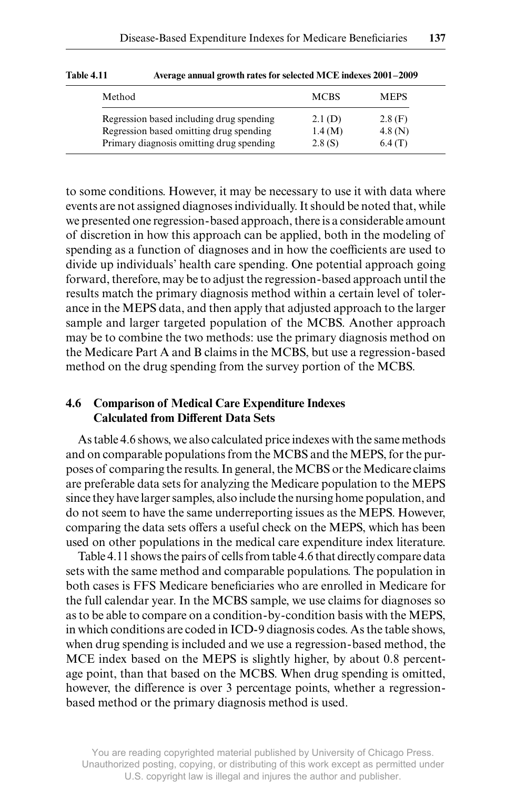| Method                                   | <b>MCBS</b> | <b>MEPS</b> |
|------------------------------------------|-------------|-------------|
| Regression based including drug spending | 2.1(D)      | 2.8(F)      |
| Regression based omitting drug spending  | 1.4(M)      | 4.8 (N)     |
| Primary diagnosis omitting drug spending | 2.8(S)      | 6.4(T)      |

**Table 4.11 Average annual growth rates for selected MCE indexes 2001–2009**

to some conditions. However, it may be necessary to use it with data where events are not assigned diagnoses individually. It should be noted that, while we presented one regression- based approach, there is a considerable amount of discretion in how this approach can be applied, both in the modeling of spending as a function of diagnoses and in how the coefficients are used to divide up individuals' health care spending. One potential approach going forward, therefore, may be to adjust the regression- based approach until the results match the primary diagnosis method within a certain level of tolerance in the MEPS data, and then apply that adjusted approach to the larger sample and larger targeted population of the MCBS. Another approach may be to combine the two methods: use the primary diagnosis method on the Medicare Part A and B claims in the MCBS, but use a regression- based method on the drug spending from the survey portion of the MCBS.

# **4.6 Comparison of Medical Care Expenditure Indexes Calculated from Different Data Sets**

As table 4.6 shows, we also calculated price indexes with the same methods and on comparable populations from the MCBS and the MEPS, for the purposes of comparing the results. In general, the MCBS or the Medicare claims are preferable data sets for analyzing the Medicare population to the MEPS since they have larger samples, also include the nursing home population, and do not seem to have the same underreporting issues as the MEPS. However, comparing the data sets offers a useful check on the MEPS, which has been used on other populations in the medical care expenditure index literature.

Table 4.11 shows the pairs of cells from table 4.6 that directly compare data sets with the same method and comparable populations. The population in both cases is FFS Medicare beneficiaries who are enrolled in Medicare for the full calendar year. In the MCBS sample, we use claims for diagnoses so as to be able to compare on a condition- by- condition basis with the MEPS, in which conditions are coded in ICD-9 diagnosis codes. As the table shows, when drug spending is included and we use a regression- based method, the MCE index based on the MEPS is slightly higher, by about 0.8 percentage point, than that based on the MCBS. When drug spending is omitted, however, the difference is over 3 percentage points, whether a regressionbased method or the primary diagnosis method is used.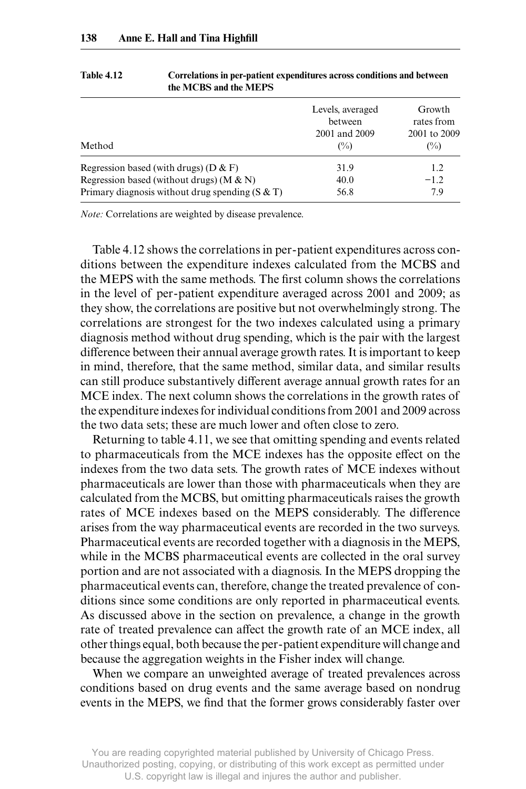|                                                   | Levels, averaged<br>between | Growth<br>rates from   |
|---------------------------------------------------|-----------------------------|------------------------|
| Method                                            | 2001 and 2009<br>$(\%)$     | 2001 to 2009<br>$(\%)$ |
| Regression based (with drugs) ( $D & F$ )         | 31.9                        | 1.2                    |
| Regression based (without drugs) ( $M & N$ )      | 40.0                        | $-1.2$                 |
| Primary diagnosis without drug spending $(S & T)$ | 56.8                        | 7.9                    |

**Table 4.12 Correlations in per- patient expenditures across conditions and between the MCBS and the MEPS**

*Note:* Correlations are weighted by disease prevalence.

 Table 4.12 shows the correlations in per- patient expenditures across conditions between the expenditure indexes calculated from the MCBS and the MEPS with the same methods. The first column shows the correlations in the level of per- patient expenditure averaged across 2001 and 2009; as they show, the correlations are positive but not overwhelmingly strong. The correlations are strongest for the two indexes calculated using a primary diagnosis method without drug spending, which is the pair with the largest difference between their annual average growth rates. It is important to keep in mind, therefore, that the same method, similar data, and similar results can still produce substantively different average annual growth rates for an MCE index. The next column shows the correlations in the growth rates of the expenditure indexes for individual conditions from 2001 and 2009 across the two data sets; these are much lower and often close to zero.

 Returning to table 4.11, we see that omitting spending and events related to pharmaceuticals from the MCE indexes has the opposite effect on the indexes from the two data sets. The growth rates of MCE indexes without pharmaceuticals are lower than those with pharmaceuticals when they are calculated from the MCBS, but omitting pharmaceuticals raises the growth rates of MCE indexes based on the MEPS considerably. The difference arises from the way pharmaceutical events are recorded in the two surveys. Pharmaceutical events are recorded together with a diagnosis in the MEPS, while in the MCBS pharmaceutical events are collected in the oral survey portion and are not associated with a diagnosis. In the MEPS dropping the pharmaceutical events can, therefore, change the treated prevalence of conditions since some conditions are only reported in pharmaceutical events. As discussed above in the section on prevalence, a change in the growth rate of treated prevalence can affect the growth rate of an MCE index, all other things equal, both because the per- patient expenditure will change and because the aggregation weights in the Fisher index will change.

When we compare an unweighted average of treated prevalences across conditions based on drug events and the same average based on nondrug events in the MEPS, we find that the former grows considerably faster over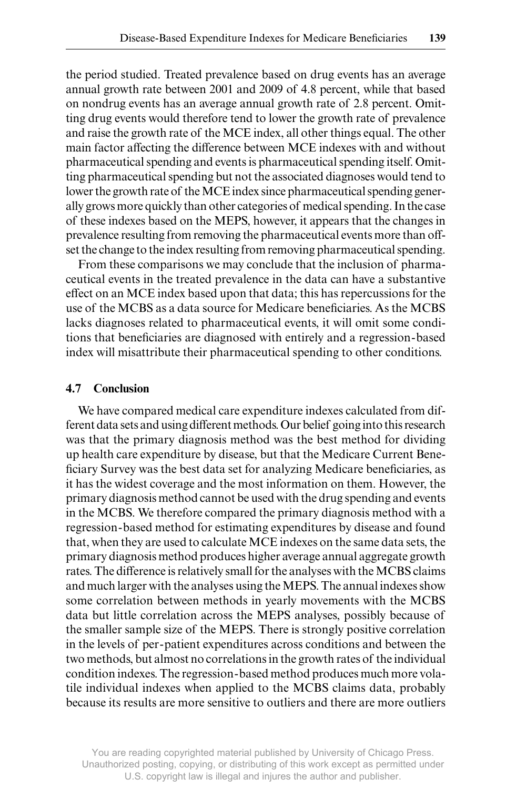the period studied. Treated prevalence based on drug events has an average annual growth rate between 2001 and 2009 of 4.8 percent, while that based on nondrug events has an average annual growth rate of 2.8 percent. Omitting drug events would therefore tend to lower the growth rate of prevalence and raise the growth rate of the MCE index, all other things equal. The other main factor affecting the difference between MCE indexes with and without pharmaceutical spending and events is pharmaceutical spending itself. Omitting pharmaceutical spending but not the associated diagnoses would tend to lower the growth rate of the MCE index since pharmaceutical spending generally grows more quickly than other categories of medical spending. In the case of these indexes based on the MEPS, however, it appears that the changes in prevalence resulting from removing the pharmaceutical events more than off set the change to the index resulting from removing pharmaceutical spending.

From these comparisons we may conclude that the inclusion of pharmaceutical events in the treated prevalence in the data can have a substantive effect on an MCE index based upon that data; this has repercussions for the use of the MCBS as a data source for Medicare beneficiaries. As the MCBS lacks diagnoses related to pharmaceutical events, it will omit some conditions that beneficiaries are diagnosed with entirely and a regression-based index will misattribute their pharmaceutical spending to other conditions.

#### **4.7 Conclusion**

We have compared medical care expenditure indexes calculated from different data sets and using different methods. Our belief going into this research was that the primary diagnosis method was the best method for dividing up health care expenditure by disease, but that the Medicare Current Beneficiary Survey was the best data set for analyzing Medicare beneficiaries, as it has the widest coverage and the most information on them. However, the primary diagnosis method cannot be used with the drug spending and events in the MCBS. We therefore compared the primary diagnosis method with a regression- based method for estimating expenditures by disease and found that, when they are used to calculate MCE indexes on the same data sets, the primary diagnosis method produces higher average annual aggregate growth rates. The difference is relatively small for the analyses with the MCBS claims and much larger with the analyses using the MEPS. The annual indexes show some correlation between methods in yearly movements with the MCBS data but little correlation across the MEPS analyses, possibly because of the smaller sample size of the MEPS. There is strongly positive correlation in the levels of per- patient expenditures across conditions and between the two methods, but almost no correlations in the growth rates of the individual condition indexes. The regression- based method produces much more volatile individual indexes when applied to the MCBS claims data, probably because its results are more sensitive to outliers and there are more outliers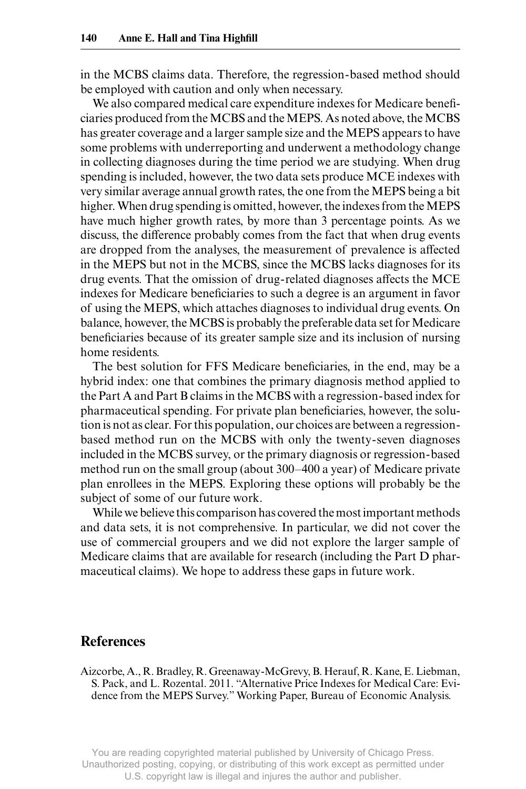in the MCBS claims data. Therefore, the regression- based method should be employed with caution and only when necessary.

We also compared medical care expenditure indexes for Medicare beneficiaries produced from the MCBS and the MEPS. As noted above, the MCBS has greater coverage and a larger sample size and the MEPS appears to have some problems with underreporting and underwent a methodology change in collecting diagnoses during the time period we are studying. When drug spending is included, however, the two data sets produce MCE indexes with very similar average annual growth rates, the one from the MEPS being a bit higher. When drug spending is omitted, however, the indexes from the MEPS have much higher growth rates, by more than 3 percentage points. As we discuss, the difference probably comes from the fact that when drug events are dropped from the analyses, the measurement of prevalence is affected in the MEPS but not in the MCBS, since the MCBS lacks diagnoses for its drug events. That the omission of drug-related diagnoses affects the MCE indexes for Medicare beneficiaries to such a degree is an argument in favor of using the MEPS, which attaches diagnoses to individual drug events. On balance, however, the MCBS is probably the preferable data set for Medicare beneficiaries because of its greater sample size and its inclusion of nursing home residents.

The best solution for FFS Medicare beneficiaries, in the end, may be a hybrid index: one that combines the primary diagnosis method applied to the Part A and Part B claims in the MCBS with a regression- based index for pharmaceutical spending. For private plan beneficiaries, however, the solution is not as clear. For this population, our choices are between a regressionbased method run on the MCBS with only the twenty- seven diagnoses included in the MCBS survey, or the primary diagnosis or regression- based method run on the small group (about 300–400 a year) of Medicare private plan enrollees in the MEPS. Exploring these options will probably be the subject of some of our future work.

While we believe this comparison has covered the most important methods and data sets, it is not comprehensive. In particular, we did not cover the use of commercial groupers and we did not explore the larger sample of Medicare claims that are available for research (including the Part D pharmaceutical claims). We hope to address these gaps in future work.

# **References**

Aizcorbe, A., R. Bradley, R. Greenaway- McGrevy, B. Herauf, R. Kane, E. Liebman, S. Pack, and L. Rozental. 2011. "Alternative Price Indexes for Medical Care: Evidence from the MEPS Survey." Working Paper, Bureau of Economic Analysis.